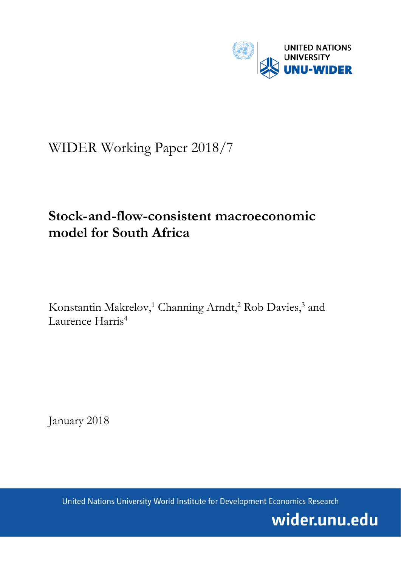

# WIDER Working Paper 2018/7

# **Stock-and-flow-consistent macroeconomic model for South Africa**

Konstantin Makrelov,<sup>1</sup> Channing Arndt,<sup>2</sup> Rob Davies,<sup>3</sup> and Laurence Harris<sup>4</sup>

January 2018

United Nations University World Institute for Development Economics Research

wider.unu.edu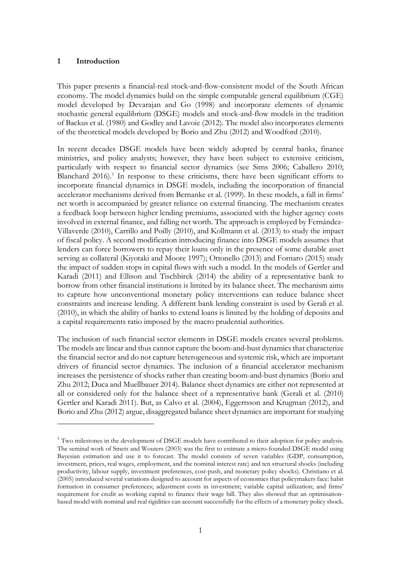### **1 Introduction**

<u>.</u>

This paper presents a financial-real stock-and-flow-consistent model of the South African economy. The model dynamics build on the simple computable general equilibrium (CGE) model developed by Devarajan and Go (1998) and incorporate elements of dynamic stochastic general equilibrium (DSGE) models and stock-and-flow models in the tradition of Backus et al. (1980) and Godley and Lavoie (2012). The model also incorporates elements of the theoretical models developed by Borio and Zhu (2012) and Woodford (2010).

In recent decades DSGE models have been widely adopted by central banks, finance ministries, and policy analysts; however, they have been subject to extensive criticism, particularly with respect to financial sector dynamics (see Sims 2006; Caballero 2010; Blanchard  $2016$  $2016$  $2016$ .<sup>1</sup> In response to these criticisms, there have been significant efforts to incorporate financial dynamics in DSGE models, including the incorporation of financial accelerator mechanisms derived from Bernanke et al. (1999). In these models, a fall in firms' net worth is accompanied by greater reliance on external financing. The mechanism creates a feedback loop between higher lending premiums, associated with the higher agency costs involved in external finance, and falling net worth. The approach is employed by Fernández-Villaverde (2010), Carrillo and Poilly (2010), and Kollmann et al. (2013) to study the impact of fiscal policy. A second modification introducing finance into DSGE models assumes that lenders can force borrowers to repay their loans only in the presence of some durable asset serving as collateral (Kiyotaki and Moore 1997); Ottonello (2013) and Fornaro (2015) study the impact of sudden stops in capital flows with such a model. In the models of Gertler and Karadi (2011) and Ellison and Tischbirek (2014) the ability of a representative bank to borrow from other financial institutions is limited by its balance sheet. The mechanism aims to capture how unconventional monetary policy interventions can reduce balance sheet constraints and increase lending. A different bank lending constraint is used by Gerali et al. (2010), in which the ability of banks to extend loans is limited by the holding of deposits and a capital requirements ratio imposed by the macro prudential authorities.

The inclusion of such financial sector elements in DSGE models creates several problems. The models are linear and thus cannot capture the boom-and-bust dynamics that characterize the financial sector and do not capture heterogeneous and systemic risk, which are important drivers of financial sector dynamics. The inclusion of a financial accelerator mechanism increases the persistence of shocks rather than creating boom-and-bust dynamics (Borio and Zhu 2012; Duca and Muellbauer 2014). Balance sheet dynamics are either not represented at all or considered only for the balance sheet of a representative bank (Gerali et al. (2010) Gertler and Karadi 2011). But, as Calvo et al. (2004), Eggertsson and Krugman (2012), and Borio and Zhu (2012) argue, disaggregated balance sheet dynamics are important for studying

<span id="page-2-0"></span> $1$  Two milestones in the development of DSGE models have contributed to their adoption for policy analysis. The seminal work of Smets and Wouters (2003) was the first to estimate a micro-founded DSGE model using Bayesian estimation and use it to forecast. The model consists of seven variables (GDP, consumption, investment, prices, real wages, employment, and the nominal interest rate) and ten structural shocks (including productivity, labour supply, investment preferences, cost-push, and monetary policy shocks). Christiano et al. (2005) introduced several variations designed to account for aspects of economies that policymakers face: habit formation in consumer preferences; adjustment costs in investment; variable capital utilization; and firms' requirement for credit as working capital to finance their wage bill. They also showed that an optimisationbased model with nominal and real rigidities can account successfully for the effects of a monetary policy shock.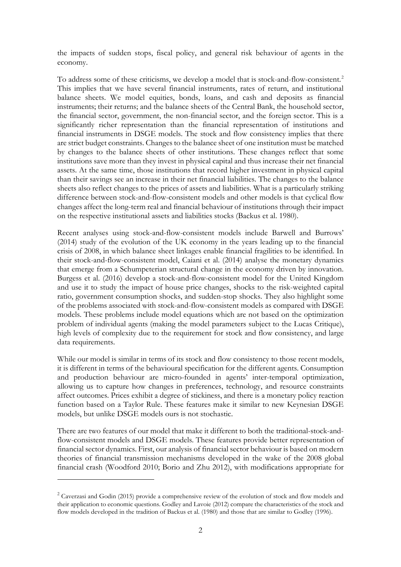the impacts of sudden stops, fiscal policy, and general risk behaviour of agents in the economy.

To address some of these criticisms, we develop a model that is stock-and-flow-consistent.<sup>[2](#page-3-0)</sup> This implies that we have several financial instruments, rates of return, and institutional balance sheets. We model equities, bonds, loans, and cash and deposits as financial instruments; their returns; and the balance sheets of the Central Bank, the household sector, the financial sector, government, the non-financial sector, and the foreign sector. This is a significantly richer representation than the financial representation of institutions and financial instruments in DSGE models. The stock and flow consistency implies that there are strict budget constraints. Changes to the balance sheet of one institution must be matched by changes to the balance sheets of other institutions. These changes reflect that some institutions save more than they invest in physical capital and thus increase their net financial assets. At the same time, those institutions that record higher investment in physical capital than their savings see an increase in their net financial liabilities. The changes to the balance sheets also reflect changes to the prices of assets and liabilities. What is a particularly striking difference between stock-and-flow-consistent models and other models is that cyclical flow changes affect the long-term real and financial behaviour of institutions through their impact on the respective institutional assets and liabilities stocks (Backus et al. 1980).

Recent analyses using stock-and-flow-consistent models include Barwell and Burrows' (2014) study of the evolution of the UK economy in the years leading up to the financial crisis of 2008, in which balance sheet linkages enable financial fragilities to be identified. In their stock-and-flow-consistent model, Caiani et al. (2014) analyse the monetary dynamics that emerge from a Schumpeterian structural change in the economy driven by innovation. Burgess et al. (2016) develop a stock-and-flow-consistent model for the United Kingdom and use it to study the impact of house price changes, shocks to the risk-weighted capital ratio, government consumption shocks, and sudden-stop shocks. They also highlight some of the problems associated with stock-and-flow-consistent models as compared with DSGE models. These problems include model equations which are not based on the optimization problem of individual agents (making the model parameters subject to the Lucas Critique), high levels of complexity due to the requirement for stock and flow consistency, and large data requirements.

While our model is similar in terms of its stock and flow consistency to those recent models, it is different in terms of the behavioural specification for the different agents. Consumption and production behaviour are micro-founded in agents' inter-temporal optimization, allowing us to capture how changes in preferences, technology, and resource constraints affect outcomes. Prices exhibit a degree of stickiness, and there is a monetary policy reaction function based on a Taylor Rule. These features make it similar to new Keynesian DSGE models, but unlike DSGE models ours is not stochastic.

There are two features of our model that make it different to both the traditional-stock-andflow-consistent models and DSGE models. These features provide better representation of financial sector dynamics. First, our analysis of financial sector behaviour is based on modern theories of financial transmission mechanisms developed in the wake of the 2008 global financial crash (Woodford 2010; Borio and Zhu 2012), with modifications appropriate for

-

<span id="page-3-0"></span><sup>&</sup>lt;sup>2</sup> Caverzasi and Godin (2015) provide a comprehensive review of the evolution of stock and flow models and their application to economic questions. Godley and Lavoie (2012) compare the characteristics of the stock and flow models developed in the tradition of Backus et al. (1980) and those that are similar to Godley (1996).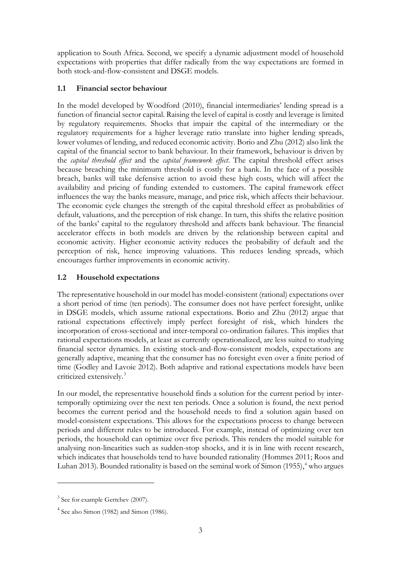application to South Africa. Second, we specify a dynamic adjustment model of household expectations with properties that differ radically from the way expectations are formed in both stock-and-flow-consistent and DSGE models.

## **1.1 Financial sector behaviour**

In the model developed by Woodford (2010), financial intermediaries' lending spread is a function of financial sector capital. Raising the level of capital is costly and leverage is limited by regulatory requirements. Shocks that impair the capital of the intermediary or the regulatory requirements for a higher leverage ratio translate into higher lending spreads, lower volumes of lending, and reduced economic activity. Borio and Zhu (2012) also link the capital of the financial sector to bank behaviour. In their framework, behaviour is driven by the *capital threshold effect* and the *capital framework effect*. The capital threshold effect arises because breaching the minimum threshold is costly for a bank. In the face of a possible breach, banks will take defensive action to avoid these high costs, which will affect the availability and pricing of funding extended to customers. The capital framework effect influences the way the banks measure, manage, and price risk, which affects their behaviour. The economic cycle changes the strength of the capital threshold effect as probabilities of default, valuations, and the perception of risk change. In turn, this shifts the relative position of the banks' capital to the regulatory threshold and affects bank behaviour. The financial accelerator effects in both models are driven by the relationship between capital and economic activity. Higher economic activity reduces the probability of default and the perception of risk, hence improving valuations. This reduces lending spreads, which encourages further improvements in economic activity.

## **1.2 Household expectations**

The representative household in our model has model-consistent (rational) expectations over a short period of time (ten periods). The consumer does not have perfect foresight, unlike in DSGE models, which assume rational expectations. Borio and Zhu (2012) argue that rational expectations effectively imply perfect foresight of risk, which hinders the incorporation of cross-sectional and inter-temporal co-ordination failures. This implies that rational expectations models, at least as currently operationalized, are less suited to studying financial sector dynamics. In existing stock-and-flow-consistent models, expectations are generally adaptive, meaning that the consumer has no foresight even over a finite period of time (Godley and Lavoie 2012). Both adaptive and rational expectations models have been criticized extensively.[3](#page-4-0)

In our model, the representative household finds a solution for the current period by intertemporally optimizing over the next ten periods. Once a solution is found, the next period becomes the current period and the household needs to find a solution again based on model-consistent expectations. This allows for the expectations process to change between periods and different rules to be introduced. For example, instead of optimizing over ten periods, the household can optimize over five periods. This renders the model suitable for analysing non-linearities such as sudden-stop shocks, and it is in line with recent research, which indicates that households tend to have bounded rationality (Hommes 2011; Roos and Luhan 2013). Bounded rationality is based on the seminal work of Simon  $(1955)$ ,<sup>[4](#page-4-1)</sup> who argues

-

<span id="page-4-0"></span> $3$  See for example Gertchev (2007).

<span id="page-4-1"></span><sup>4</sup> See also Simon (1982) and Simon (1986).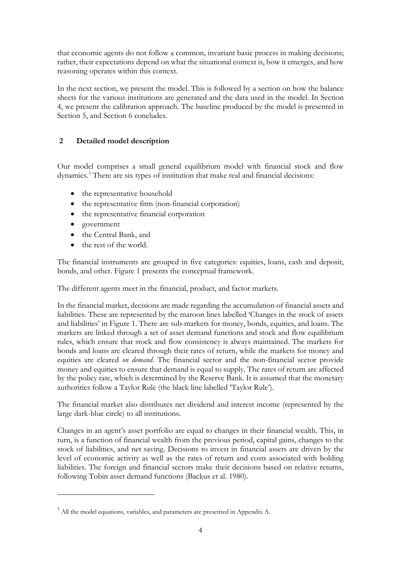that economic agents do not follow a common, invariant basic process in making decisions; rather, their expectations depend on what the situational context is, how it emerges, and how reasoning operates within this context.

In the next section, we present the model. This is followed by a section on how the balance sheets for the various institutions are generated and the data used in the model. In Section 4, we present the calibration approach. The baseline produced by the model is presented in Section 5, and Section 6 concludes.

## **2 Detailed model description**

Our model comprises a small general equilibrium model with financial stock and flow dynamics.[5](#page-5-0) There are six types of institution that make real and financial decisions:

- the representative household
- the representative firm (non-financial corporation)
- the representative financial corporation
- government

-

- the Central Bank, and
- the rest of the world.

The financial instruments are grouped in five categories: equities, loans, cash and deposit, bonds, and other. Figure 1 presents the conceptual framework.

The different agents meet in the financial, product, and factor markets.

In the financial market, decisions are made regarding the accumulation of financial assets and liabilities. These are represented by the maroon lines labelled 'Changes in the stock of assets and liabilities' in Figure 1. There are sub-markets for money, bonds, equities, and loans. The markets are linked through a set of asset demand functions and stock and flow equilibrium rules, which ensure that stock and flow consistency is always maintained. The markets for bonds and loans are cleared through their rates of return, while the markets for money and equities are cleared *on demand*. The financial sector and the non-financial sector provide money and equities to ensure that demand is equal to supply. The rates of return are affected by the policy rate, which is determined by the Reserve Bank. It is assumed that the monetary authorities follow a Taylor Rule (the black line labelled 'Taylor Rule').

The financial market also distributes net dividend and interest income (represented by the large dark-blue circle) to all institutions.

Changes in an agent's asset portfolio are equal to changes in their financial wealth. This, in turn, is a function of financial wealth from the previous period, capital gains, changes to the stock of liabilities, and net saving. Decisions to invest in financial assets are driven by the level of economic activity as well as the rates of return and costs associated with holding liabilities. The foreign and financial sectors make their decisions based on relative returns, following Tobin asset demand functions (Backus et al. 1980).

<span id="page-5-0"></span><sup>5</sup> All the model equations, variables, and parameters are presented in Appendix A.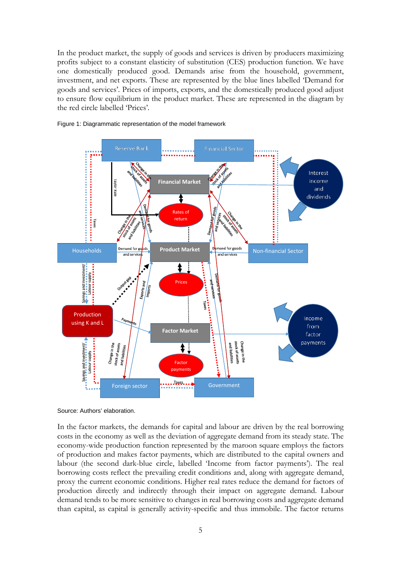In the product market, the supply of goods and services is driven by producers maximizing profits subject to a constant elasticity of substitution (CES) production function. We have one domestically produced good. Demands arise from the household, government, investment, and net exports. These are represented by the blue lines labelled 'Demand for goods and services'*.* Prices of imports, exports, and the domestically produced good adjust to ensure flow equilibrium in the product market. These are represented in the diagram by the red circle labelled 'Prices'*.*



#### Figure 1: Diagrammatic representation of the model framework

Source: Authors' elaboration.

In the factor markets, the demands for capital and labour are driven by the real borrowing costs in the economy as well as the deviation of aggregate demand from its steady state. The economy-wide production function represented by the maroon square employs the factors of production and makes factor payments, which are distributed to the capital owners and labour (the second dark-blue circle, labelled 'Income from factor payments'). The real borrowing costs reflect the prevailing credit conditions and, along with aggregate demand, proxy the current economic conditions. Higher real rates reduce the demand for factors of production directly and indirectly through their impact on aggregate demand. Labour demand tends to be more sensitive to changes in real borrowing costs and aggregate demand than capital, as capital is generally activity-specific and thus immobile. The factor returns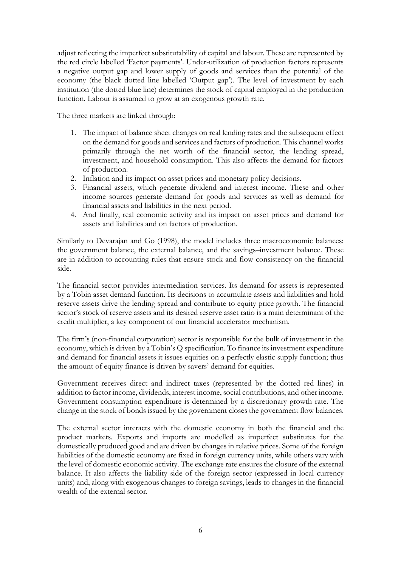adjust reflecting the imperfect substitutability of capital and labour. These are represented by the red circle labelled 'Factor payments'*.* Under-utilization of production factors represents a negative output gap and lower supply of goods and services than the potential of the economy (the black dotted line labelled 'Output gap'). The level of investment by each institution (the dotted blue line) determines the stock of capital employed in the production function. Labour is assumed to grow at an exogenous growth rate.

The three markets are linked through:

- 1. The impact of balance sheet changes on real lending rates and the subsequent effect on the demand for goods and services and factors of production. This channel works primarily through the net worth of the financial sector, the lending spread, investment, and household consumption. This also affects the demand for factors of production.
- 2. Inflation and its impact on asset prices and monetary policy decisions.
- 3. Financial assets, which generate dividend and interest income. These and other income sources generate demand for goods and services as well as demand for financial assets and liabilities in the next period.
- 4. And finally, real economic activity and its impact on asset prices and demand for assets and liabilities and on factors of production.

Similarly to Devarajan and Go (1998), the model includes three macroeconomic balances: the government balance, the external balance, and the savings–investment balance. These are in addition to accounting rules that ensure stock and flow consistency on the financial side.

The financial sector provides intermediation services. Its demand for assets is represented by a Tobin asset demand function. Its decisions to accumulate assets and liabilities and hold reserve assets drive the lending spread and contribute to equity price growth. The financial sector's stock of reserve assets and its desired reserve asset ratio is a main determinant of the credit multiplier, a key component of our financial accelerator mechanism.

The firm's (non-financial corporation) sector is responsible for the bulk of investment in the economy, which is driven by a Tobin's Q specification. To finance its investment expenditure and demand for financial assets it issues equities on a perfectly elastic supply function; thus the amount of equity finance is driven by savers' demand for equities.

Government receives direct and indirect taxes (represented by the dotted red lines) in addition to factor income, dividends, interest income, social contributions, and other income. Government consumption expenditure is determined by a discretionary growth rate. The change in the stock of bonds issued by the government closes the government flow balances.

The external sector interacts with the domestic economy in both the financial and the product markets. Exports and imports are modelled as imperfect substitutes for the domestically produced good and are driven by changes in relative prices. Some of the foreign liabilities of the domestic economy are fixed in foreign currency units, while others vary with the level of domestic economic activity. The exchange rate ensures the closure of the external balance. It also affects the liability side of the foreign sector (expressed in local currency units) and, along with exogenous changes to foreign savings, leads to changes in the financial wealth of the external sector.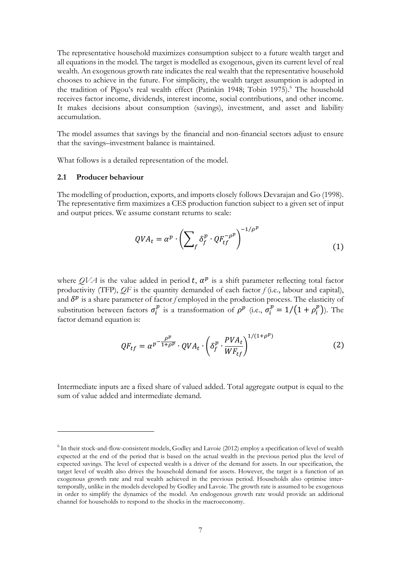The representative household maximizes consumption subject to a future wealth target and all equations in the model. The target is modelled as exogenous, given its current level of real wealth. An exogenous growth rate indicates the real wealth that the representative household chooses to achieve in the future. For simplicity, the wealth target assumption is adopted in the tradition of Pigou's real wealth effect (Patinkin 1948; Tobin 1975).<sup>[6](#page-8-0)</sup> The household receives factor income, dividends, interest income, social contributions, and other income. It makes decisions about consumption (savings), investment, and asset and liability accumulation.

The model assumes that savings by the financial and non-financial sectors adjust to ensure that the savings–investment balance is maintained.

What follows is a detailed representation of the model.

#### **2.1 Producer behaviour**

<u>.</u>

The modelling of production, exports, and imports closely follows Devarajan and Go (1998). The representative firm maximizes a CES production function subject to a given set of input and output prices. We assume constant returns to scale:

$$
QVA_t = \alpha^p \cdot \left(\sum_f \delta_f^p \cdot QF_{tf}^{-\rho^p}\right)^{-1/\rho^p}
$$
 (1)

where  $QVA$  is the value added in period t,  $\alpha^p$  is a shift parameter reflecting total factor productivity (TFP), *QF* is the quantity demanded of each factor *f* (i.e., labour and capital), and  $\delta^p$  is a share parameter of factor *f* employed in the production process. The elasticity of substitution between factors  $\sigma_i^p$  is a transformation of  $\rho^p$  (i.e.,  $\sigma_i^p = 1/(1 + \rho_i^p)$ ). The factor demand equation is:

$$
QF_{tf} = \alpha^{p} \frac{\rho^p}{1 + \rho^p} \cdot QVA_t \cdot \left(\delta_f^p \cdot \frac{PVA_t}{WF_{tf}}\right)^{1/(1 + \rho^p)}
$$
(2)

Intermediate inputs are a fixed share of valued added. Total aggregate output is equal to the sum of value added and intermediate demand.

<span id="page-8-0"></span><sup>&</sup>lt;sup>6</sup> In their stock-and-flow-consistent models, Godley and Lavoie (2012) employ a specification of level of wealth expected at the end of the period that is based on the actual wealth in the previous period plus the level of expected savings. The level of expected wealth is a driver of the demand for assets. In our specification, the target level of wealth also drives the household demand for assets. However, the target is a function of an exogenous growth rate and real wealth achieved in the previous period. Households also optimise intertemporally, unlike in the models developed by Godley and Lavoie. The growth rate is assumed to be exogenous in order to simplify the dynamics of the model. An endogenous growth rate would provide an additional channel for households to respond to the shocks in the macroeconomy.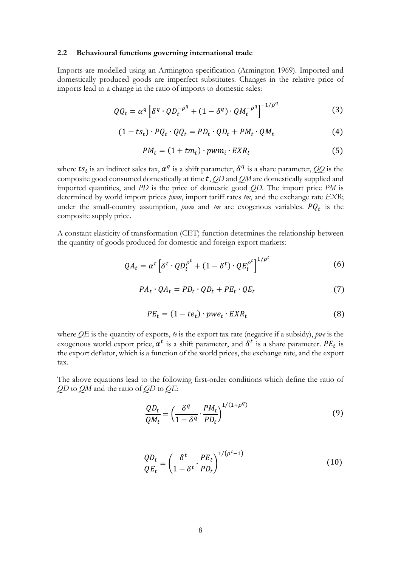#### **2.2 Behavioural functions governing international trade**

Imports are modelled using an Armington specification (Armington 1969). Imported and domestically produced goods are imperfect substitutes. Changes in the relative price of imports lead to a change in the ratio of imports to domestic sales:

$$
QQ_t = \alpha^q \left[ \delta^q \cdot Q D_t^{-\rho^q} + (1 - \delta^q) \cdot Q M_t^{-\rho^q} \right]^{-1/\rho^q}
$$
 (3)

$$
(1 - ts_t) \cdot PQ_t \cdot QQ_t = PD_t \cdot QD_t + PM_t \cdot QM_t \tag{4}
$$

$$
PM_t = (1 + tm_t) \cdot pwm_i \cdot EXP_t \tag{5}
$$

where  $ts_t$  is an indirect sales tax,  $\alpha^q$  is a shift parameter,  $\delta^q$  is a share parameter, *QQ* is the composite good consumed domestically at time t, *QD* and *QM* are domestically supplied and imported quantities, and *PD* is the price of domestic good *QD*. The import price *PM* is determined by world import prices *pwm*, import tariff rates *tm*, and the exchange rate *EXR*; under the small-country assumption,  $\textit{pwm}$  and  $\textit{tm}$  are exogenous variables.  $PQ_t$  is the composite supply price.

A constant elasticity of transformation (CET) function determines the relationship between the quantity of goods produced for domestic and foreign export markets:

$$
QA_t = \alpha^t \left[ \delta^t \cdot Q D_t^{\rho^t} + (1 - \delta^t) \cdot Q E_t^{\rho^t} \right]^{1/\rho^t}
$$
 (6)

$$
PA_t \cdot QA_t = PD_t \cdot QD_t + PE_t \cdot QE_t \tag{7}
$$

$$
PE_t = (1 - te_t) \cdot pwe_t \cdot EXR_t \tag{8}
$$

where *QE* is the quantity of exports, *te* is the export tax rate (negative if a subsidy), *pwe* is the exogenous world export price,  $\alpha^t$  is a shift parameter, and  $\delta^t$  is a share parameter.  $PE_t$  is the export deflator, which is a function of the world prices, the exchange rate, and the export tax.

The above equations lead to the following first-order conditions which define the ratio of *QD* to *QM* and the ratio of *QD* to *QE*:

$$
\frac{QD_t}{QM_t} = \left(\frac{\delta^q}{1 - \delta^q} \cdot \frac{PM_t}{PD_t}\right)^{1/(1+\rho^q)}
$$
(9)

$$
\frac{QD_t}{QE_t} = \left(\frac{\delta^t}{1 - \delta^t} \cdot \frac{PE_t}{PD_t}\right)^{1/(\rho^t - 1)}
$$
(10)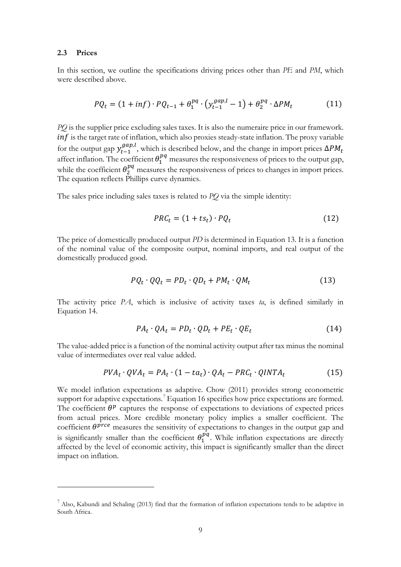#### **2.3 Prices**

<u>.</u>

In this section, we outline the specifications driving prices other than *PE* and *PM*, which were described above.

$$
PQ_t = (1 + inf) \cdot PQ_{t-1} + \theta_1^{pq} \cdot (y_{t-1}^{gap,l} - 1) + \theta_2^{pq} \cdot \Delta PM_t
$$
 (11)

*PQ* is the supplier price excluding sales taxes. It is also the numeraire price in our framework.  $inf$  is the target rate of inflation, which also proxies steady-state inflation. The proxy variable for the output gap  $y_{t-1}^{gap,l}$ , which is described below, and the change in import prices  $\Delta PM_t$ affect inflation. The coefficient  $\theta_1^{pq}$  measures the responsiveness of prices to the output gap, while the coefficient  $\theta_2^{pq}$  measures the responsiveness of prices to changes in import prices. The equation reflects Phillips curve dynamics.

The sales price including sales taxes is related to *PQ* via the simple identity:

$$
PRC_t = (1 + ts_t) \cdot PQ_t \tag{12}
$$

The price of domestically produced output *PD* is determined in Equation 13. It is a function of the nominal value of the composite output, nominal imports, and real output of the domestically produced good.

$$
PQ_t \cdot QQ_t = PD_t \cdot QD_t + PM_t \cdot QM_t \tag{13}
$$

The activity price *PA*, which is inclusive of activity taxes *ta*, is defined similarly in Equation 14.

$$
PA_t \cdot QA_t = PD_t \cdot QD_t + PE_t \cdot QE_t \tag{14}
$$

The value-added price is a function of the nominal activity output after tax minus the nominal value of intermediates over real value added.

$$
PVA_t \cdot QVA_t = PA_t \cdot (1 - ta_t) \cdot QA_t - PRC_t \cdot QINTA_t \tag{15}
$$

We model inflation expectations as adaptive. Chow (2011) provides strong econometric support for adaptive expectations.<sup>[7](#page-10-0)</sup> Equation 16 specifies how price expectations are formed. The coefficient  $\theta^p$  captures the response of expectations to deviations of expected prices from actual prices. More credible monetary policy implies a smaller coefficient. The coefficient  $\theta^{proc}$  measures the sensitivity of expectations to changes in the output gap and is significantly smaller than the coefficient  $\theta_1^{pq}$ . While inflation expectations are directly affected by the level of economic activity, this impact is significantly smaller than the direct impact on inflation.

<span id="page-10-0"></span><sup>7</sup> Also, Kabundi and Schaling (2013) find that the formation of inflation expectations tends to be adaptive in South Africa.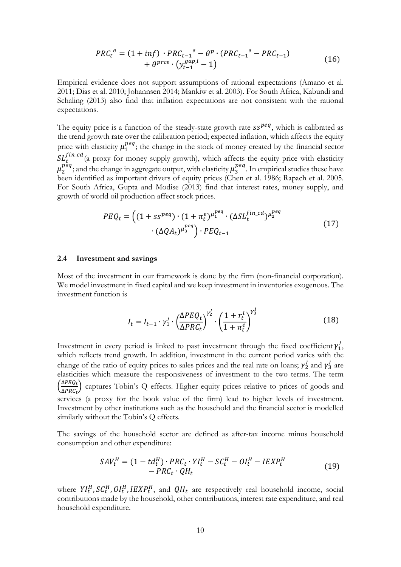$$
PRC_t^e = (1 + inf) \cdot PRC_{t-1}^e - \theta^p \cdot (PRC_{t-1}^e - PRC_{t-1}) + \theta^{prce} \cdot (y_{t-1}^{gap,l} - 1)
$$
 (16)

Empirical evidence does not support assumptions of rational expectations (Amano et al. 2011; Dias et al. 2010; Johannsen 2014; Mankiw et al. 2003). For South Africa, Kabundi and Schaling (2013) also find that inflation expectations are not consistent with the rational expectations.

The equity price is a function of the steady-state growth rate  $ss^{peq}$ , which is calibrated as the trend growth rate over the calibration period; expected inflation, which affects the equity price with elasticity  $\mu_1^{peq}$ ; the change in the stock of money created by the financial sector  $SL_t^{I}$ <sup>tn\_cd</sup>(a proxy for money supply growth), which affects the equity price with elasticity  $\mu_2^{peq}$ ; and the change in aggregate output, with elasticity  $\mu_3^{peq}$ . In empirical studies these have been identified as important drivers of equity prices (Chen et al. 1986; Rapach et al. 2005. For South Africa, Gupta and Modise (2013) find that interest rates, money supply, and growth of world oil production affect stock prices.

$$
PEQ_t = \left( (1 + ss^{peq}) \cdot (1 + \pi_t^e)^{\mu_1^{peq}} \cdot (\Delta SL_t^{fin\_cd})^{\mu_2^{peq}} \cdot (\Delta Q A_t)^{\mu_3^{peq}} \right) \cdot PEQ_{t-1}
$$
\n
$$
(17)
$$

#### **2.4 Investment and savings**

Most of the investment in our framework is done by the firm (non-financial corporation). We model investment in fixed capital and we keep investment in inventories exogenous. The investment function is

$$
I_t = I_{t-1} \cdot \gamma_1^l \cdot \left(\frac{\Delta PEQ_t}{\Delta PRC_t}\right)^{\gamma_2^l} \cdot \left(\frac{1 + r_t^l}{1 + \pi_t^e}\right)^{\gamma_3^l} \tag{18}
$$

Investment in every period is linked to past investment through the fixed coefficient  $\gamma_1^1$ , which reflects trend growth. In addition, investment in the current period varies with the change of the ratio of equity prices to sales prices and the real rate on loans;  $\gamma_2^1$  and  $\gamma_3^1$  are elasticities which measure the responsiveness of investment to the two terms. The term  $\left(\frac{\Delta PEQ_t}{APRC_t}\right)$  $\frac{\Delta T E Q_t}{\Delta P R C_t}$  captures Tobin's Q effects. Higher equity prices relative to prices of goods and services (a proxy for the book value of the firm) lead to higher levels of investment. Investment by other institutions such as the household and the financial sector is modelled similarly without the Tobin's Q effects.

The savings of the household sector are defined as after-tax income minus household consumption and other expenditure:

$$
SAV_t^H = (1 - td_t^H) \cdot PRC_t \cdot YI_t^H - SC_t^H - OI_t^H - IEXP_t^H
$$
  
- 
$$
PRC_t \cdot QH_t
$$
 (19)

where  $YI_t^H$ ,  $SC_t^H$ ,  $OI_t^H$ ,  $IEXP_t^H$ , and  $QH_t$  are respectively real household income, social contributions made by the household, other contributions, interest rate expenditure, and real household expenditure.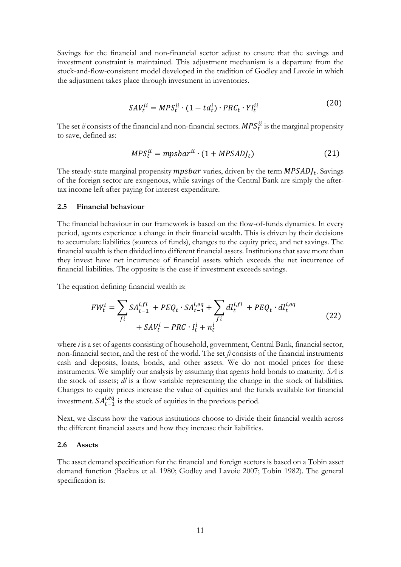Savings for the financial and non-financial sector adjust to ensure that the savings and investment constraint is maintained. This adjustment mechanism is a departure from the stock-and-flow-consistent model developed in the tradition of Godley and Lavoie in which the adjustment takes place through investment in inventories.

$$
SAV_t^{ii} = MPS_t^{ii} \cdot (1 - td_t^i) \cdot PRC_t \cdot YI_t^{ii}
$$
 (20)

The set *ii* consists of the financial and non-financial sectors.  $MPS_t^u$  is the marginal propensity to save, defined as:

$$
MPS_t^{ii} = mpsbar^{ii} \cdot (1 + MPSADJ_t) \tag{21}
$$

The steady-state marginal propensity mpsbar varies, driven by the term  $MPSADJ_t$ . Savings of the foreign sector are exogenous, while savings of the Central Bank are simply the aftertax income left after paying for interest expenditure.

#### **2.5 Financial behaviour**

The financial behaviour in our framework is based on the flow-of-funds dynamics. In every period, agents experience a change in their financial wealth. This is driven by their decisions to accumulate liabilities (sources of funds), changes to the equity price, and net savings. The financial wealth is then divided into different financial assets. Institutions that save more than they invest have net incurrence of financial assets which exceeds the net incurrence of financial liabilities. The opposite is the case if investment exceeds savings.

The equation defining financial wealth is:

$$
FW_t^i = \sum_{fi} SA_{t-1}^{i, fi} + PEQ_t \cdot SA_{t-1}^{i, eq} + \sum_{fi} dl_t^{i, fi} + PEQ_t \cdot dl_t^{i, eq}
$$
  
+ SAV\_t^i - PRC \cdot I\_t^i + n\_t^i (22)

where *i* is a set of agents consisting of household, government, Central Bank, financial sector, non-financial sector, and the rest of the world. The set *fi* consists of the financial instruments cash and deposits, loans, bonds, and other assets. We do not model prices for these instruments. We simplify our analysis by assuming that agents hold bonds to maturity. *SA* is the stock of assets; *dl* is a flow variable representing the change in the stock of liabilities. Changes to equity prices increase the value of equities and the funds available for financial investment.  $SA_{t-1}^{l,eq}$  is the stock of equities in the previous period.

Next, we discuss how the various institutions choose to divide their financial wealth across the different financial assets and how they increase their liabilities.

#### **2.6 Assets**

The asset demand specification for the financial and foreign sectors is based on a Tobin asset demand function (Backus et al. 1980; Godley and Lavoie 2007; Tobin 1982). The general specification is: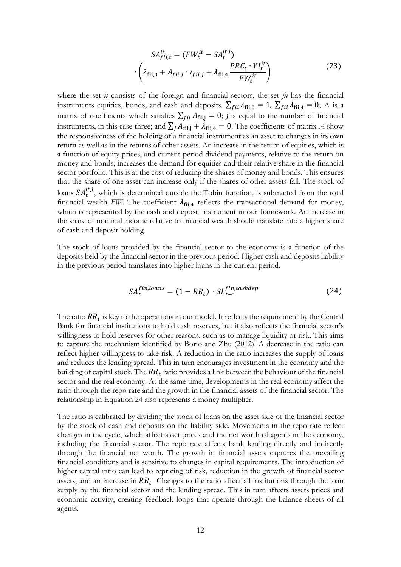$$
SA_{fii,t}^{it} = (FW_t^{it} - SA_t^{it,l})
$$

$$
\cdot \left(\lambda_{fii,0} + A_{fii,j} \cdot r_{fii,j} + \lambda_{fii,4} \frac{PRC_t \cdot YI_t^{it}}{FW_t^{it}}\right)
$$
(23)

where the set *it* consists of the foreign and financial sectors, the set *fii* has the financial instruments equities, bonds, and cash and deposits.  $\sum_{fii} \lambda_{fii,0} = 1$ ,  $\sum_{fii} \lambda_{fii,4} = 0$ ; A is a matrix of coefficients which satisfies  $\sum_{fii} A_{fii,j} = 0$ ; *j* is equal to the number of financial instruments, in this case three; and  $\sum_j A_{fij} + \lambda_{fij,4} = 0$ . The coefficients of matrix A show the responsiveness of the holding of a financial instrument as an asset to changes in its own return as well as in the returns of other assets. An increase in the return of equities, which is a function of equity prices, and current-period dividend payments, relative to the return on money and bonds, increases the demand for equities and their relative share in the financial sector portfolio. This is at the cost of reducing the shares of money and bonds. This ensures that the share of one asset can increase only if the shares of other assets fall. The stock of loans  $SA_t^{tt,l}$ , which is determined outside the Tobin function, is subtracted from the total financial wealth *FW*. The coefficient  $\lambda_{\text{fii,4}}$  reflects the transactional demand for money, which is represented by the cash and deposit instrument in our framework. An increase in the share of nominal income relative to financial wealth should translate into a higher share of cash and deposit holding.

The stock of loans provided by the financial sector to the economy is a function of the deposits held by the financial sector in the previous period. Higher cash and deposits liability in the previous period translates into higher loans in the current period.

$$
SA_t^{fin, loans} = (1 - RR_t) \cdot SL_{t-1}^{fin, cashdep}
$$
 (24)

The ratio  $RR_t$  is key to the operations in our model. It reflects the requirement by the Central Bank for financial institutions to hold cash reserves, but it also reflects the financial sector's willingness to hold reserves for other reasons, such as to manage liquidity or risk. This aims to capture the mechanism identified by Borio and Zhu (2012). A decrease in the ratio can reflect higher willingness to take risk. A reduction in the ratio increases the supply of loans and reduces the lending spread. This in turn encourages investment in the economy and the building of capital stock. The  $RR_t$  ratio provides a link between the behaviour of the financial sector and the real economy. At the same time, developments in the real economy affect the ratio through the repo rate and the growth in the financial assets of the financial sector. The relationship in Equation 24 also represents a money multiplier.

The ratio is calibrated by dividing the stock of loans on the asset side of the financial sector by the stock of cash and deposits on the liability side. Movements in the repo rate reflect changes in the cycle, which affect asset prices and the net worth of agents in the economy, including the financial sector. The repo rate affects bank lending directly and indirectly through the financial net worth. The growth in financial assets captures the prevailing financial conditions and is sensitive to changes in capital requirements. The introduction of higher capital ratio can lead to repricing of risk, reduction in the growth of financial sector assets, and an increase in  $RR_t$ . Changes to the ratio affect all institutions through the loan supply by the financial sector and the lending spread. This in turn affects assets prices and economic activity, creating feedback loops that operate through the balance sheets of all agents.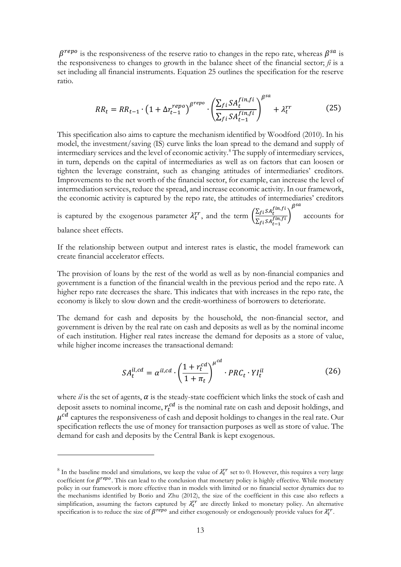$\beta^{repo}$  is the responsiveness of the reserve ratio to changes in the repo rate, whereas  $\beta^{sa}$  is the responsiveness to changes to growth in the balance sheet of the financial sector;  $\hat{h}$  is a set including all financial instruments. Equation 25 outlines the specification for the reserve ratio.

$$
RR_t = RR_{t-1} \cdot \left(1 + \Delta r_{t-1}^{repo}\right)^{\beta^{repo}} \cdot \left(\frac{\sum_{fi} SA_t^{fin,fi}}{\sum_{fi} SA_{t-1}^{fin,fi}}\right)^{\beta^{sa}} + \lambda_t^{rr}
$$
(25)

This specification also aims to capture the mechanism identified by Woodford (2010). In his model, the investment/saving (IS) curve links the loan spread to the demand and supply of intermediary services and the level of economic activity.<sup>[8](#page-14-0)</sup> The supply of intermediary services, in turn, depends on the capital of intermediaries as well as on factors that can loosen or tighten the leverage constraint, such as changing attitudes of intermediaries' creditors. Improvements to the net worth of the financial sector, for example, can increase the level of intermediation services, reduce the spread, and increase economic activity. In our framework, the economic activity is captured by the repo rate, the attitudes of intermediaries' creditors

is captured by the exogenous parameter  $\lambda_t^{rr}$ , and the term  $\left(\frac{\sum_{f_i} SA_t^{f_in,fi}}{\sum_{s_i} SA_t^{f_in,fi}}\right)$  $\frac{\sum_{f_i} \sum_{f_i} \sum_{f_i} f_i}{\sum_{f_i} \sum_{f_i} \sum_{f_i} f_i}$  $\beta^{sa}$ accounts for balance sheet effects.

If the relationship between output and interest rates is elastic, the model framework can create financial accelerator effects.

The provision of loans by the rest of the world as well as by non-financial companies and government is a function of the financial wealth in the previous period and the repo rate. A higher repo rate decreases the share. This indicates that with increases in the repo rate, the economy is likely to slow down and the credit-worthiness of borrowers to deteriorate.

The demand for cash and deposits by the household, the non-financial sector, and government is driven by the real rate on cash and deposits as well as by the nominal income of each institution. Higher real rates increase the demand for deposits as a store of value, while higher income increases the transactional demand:

$$
SA_t^{il,cd} = \alpha^{il,cd} \cdot \left(\frac{1 + r_t^{cd}}{1 + \pi_t}\right)^{\mu^{cd}} \cdot PRC_t \cdot YI_t^{il}
$$
 (26)

where  $il$  is the set of agents,  $\alpha$  is the steady-state coefficient which links the stock of cash and deposit assets to nominal income,  $r_t^{cd}$  is the nominal rate on cash and deposit holdings, and  $\mu^{cd}$  captures the responsiveness of cash and deposit holdings to changes in the real rate. Our specification reflects the use of money for transaction purposes as well as store of value. The demand for cash and deposits by the Central Bank is kept exogenous.

-

<span id="page-14-0"></span><sup>&</sup>lt;sup>8</sup> In the baseline model and simulations, we keep the value of  $\lambda_t^{rr}$  set to 0. However, this requires a very large coefficient for  $\beta^{repo}$ . This can lead to the conclusion that monetary policy is highly effective. While monetary policy in our framework is more effective than in models with limited or no financial sector dynamics due to the mechanisms identified by Borio and Zhu (2012), the size of the coefficient in this case also reflects a simplification, assuming the factors captured by  $\lambda_t^{rr}$  are directly linked to monetary policy. An alternative specification is to reduce the size of  $\beta^{repo}$  and either exogenously or endogenously provide values for  $\lambda_t^{rr}$ .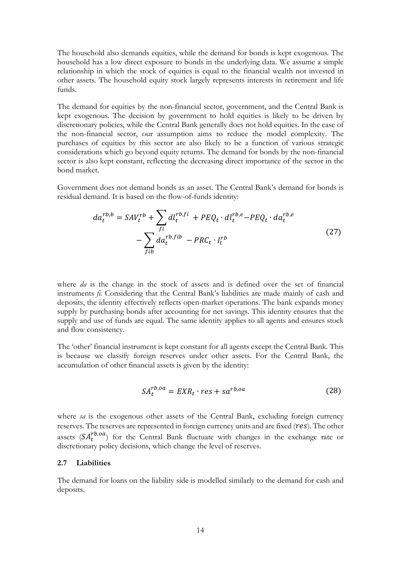The household also demands equities, while the demand for bonds is kept exogenous. The household has a low direct exposure to bonds in the underlying data. We assume a simple relationship in which the stock of equities is equal to the financial wealth not invested in other assets. The household equity stock largely represents interests in retirement and life funds.

The demand for equities by the non-financial sector, government, and the Central Bank is kept exogenous. The decision by government to hold equities is likely to be driven by discretionary policies, while the Central Bank generally does not hold equities. In the case of the non-financial sector, our assumption aims to reduce the model complexity. The purchases of equities by this sector are also likely to be a function of various strategic considerations which go beyond equity returns. The demand for bonds by the non-financial sector is also kept constant, reflecting the decreasing direct importance of the sector in the bond market.

Government does not demand bonds as an asset. The Central Bank's demand for bonds is residual demand. It is based on the flow-of-funds identity:

$$
da_t^{rb,b} = SAV_t^{rb} + \sum_{fi} dl_t^{rb,fi} + PEQ_t \cdot dl_t^{rb,e} - PEQ_t \cdot da_t^{rb,e}
$$

$$
- \sum_{fib} da_t^{rb,fib} - PRC_t \cdot I_t^{rb}
$$
(27)

where *da* is the change in the stock of assets and is defined over the set of financial instruments *fi*. Considering that the Central Bank's liabilities are made mainly of cash and deposits, the identity effectively reflects open-market operations. The bank expands money supply by purchasing bonds after accounting for net savings. This identity ensures that the supply and use of funds are equal. The same identity applies to all agents and ensures stock and flow consistency.

The 'other' financial instrument is kept constant for all agents except the Central Bank. This is because we classify foreign reserves under other assets. For the Central Bank, the accumulation of other financial assets is given by the identity:

$$
SA_t^{rb,oa} = EXP_t \cdot res + sa^{rb,oa} \tag{28}
$$

where *sa* is the exogenous other assets of the Central Bank, excluding foreign currency reserves. The reserves are represented in foreign currency units and are fixed  $(res)$ . The other assets  $(SA_t^{rb,oa})$  for the Central Bank fluctuate with changes in the exchange rate or discretionary policy decisions, which change the level of reserves.

#### **2.7 Liabilities**

The demand for loans on the liability side is modelled similarly to the demand for cash and deposits.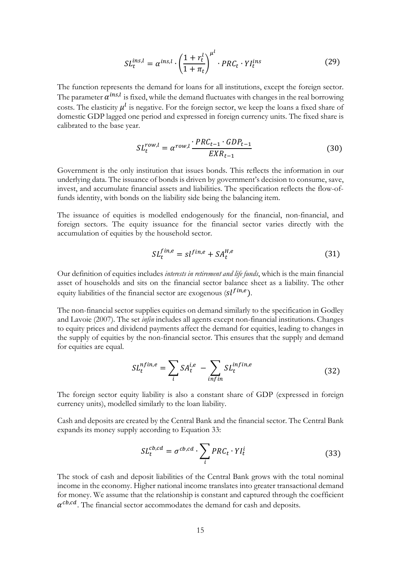$$
SL_t^{ins,l} = \alpha^{ins,l} \cdot \left(\frac{1 + r_t^l}{1 + \pi_t}\right)^{\mu^l} \cdot PRC_t \cdot YI_t^{ins}
$$
 (29)

The function represents the demand for loans for all institutions, except the foreign sector. The parameter  $\alpha^{ins,l}$  is fixed, while the demand fluctuates with changes in the real borrowing costs. The elasticity  $\mu^{l}$  is negative. For the foreign sector, we keep the loans a fixed share of domestic GDP lagged one period and expressed in foreign currency units. The fixed share is calibrated to the base year.

$$
SL_t^{row,l} = \alpha^{row,l} \frac{PRC_{t-1} \cdot GDP_{t-1}}{EXR_{t-1}}
$$
(30)

Government is the only institution that issues bonds. This reflects the information in our underlying data. The issuance of bonds is driven by government's decision to consume, save, invest, and accumulate financial assets and liabilities. The specification reflects the flow-offunds identity, with bonds on the liability side being the balancing item.

The issuance of equities is modelled endogenously for the financial, non-financial, and foreign sectors. The equity issuance for the financial sector varies directly with the accumulation of equities by the household sector.

$$
SL_t^{fin,e} = sl^{fin,e} + SA_t^{H,e}
$$
 (31)

Our definition of equities includes *interests in retirement and life funds*, which is the main financial asset of households and sits on the financial sector balance sheet as a liability. The other equity liabilities of the financial sector are exogenous  $s(l^{fin,e})$ .

The non-financial sector supplies equities on demand similarly to the specification in Godley and Lavoie (2007). The set *infin* includes all agents except non-financial institutions. Changes to equity prices and dividend payments affect the demand for equities, leading to changes in the supply of equities by the non-financial sector. This ensures that the supply and demand for equities are equal.

$$
SL_t^{nfin,e} = \sum_i SA_t^{i,e} - \sum_{infin} SL_t^{infin,e}
$$
 (32)

The foreign sector equity liability is also a constant share of GDP (expressed in foreign currency units), modelled similarly to the loan liability.

Cash and deposits are created by the Central Bank and the financial sector. The Central Bank expands its money supply according to Equation 33:

$$
SL_t^{cb,cd} = \sigma^{cb,cd} \cdot \sum_i PRC_t \cdot YI_t^i \tag{33}
$$

The stock of cash and deposit liabilities of the Central Bank grows with the total nominal income in the economy. Higher national income translates into greater transactional demand for money. We assume that the relationship is constant and captured through the coefficient  $\alpha^{cb,cd}$ . The financial sector accommodates the demand for cash and deposits.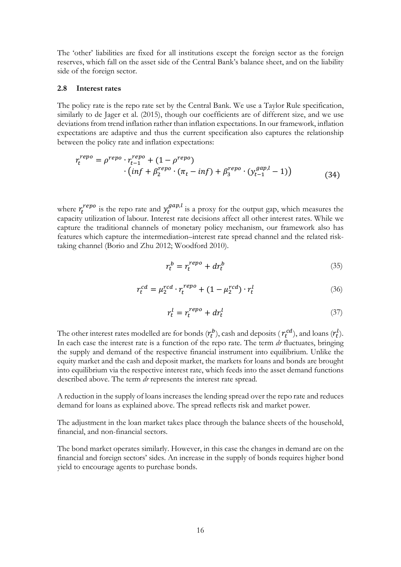The 'other' liabilities are fixed for all institutions except the foreign sector as the foreign reserves, which fall on the asset side of the Central Bank's balance sheet, and on the liability side of the foreign sector.

#### **2.8 Interest rates**

The policy rate is the repo rate set by the Central Bank. We use a Taylor Rule specification, similarly to de Jager et al. (2015), though our coefficients are of different size, and we use deviations from trend inflation rather than inflation expectations. In our framework, inflation expectations are adaptive and thus the current specification also captures the relationship between the policy rate and inflation expectations:

$$
r_t^{repo} = \rho^{repo} \cdot r_{t-1}^{repo} + (1 - \rho^{repo})
$$
  
· $(inf + \beta_2^{repo} \cdot (\pi_t - inf) + \beta_3^{repo} \cdot (y_{t-1}^{gap,l} - 1))$  (34)

where  $r_t^{repo}$  is the repo rate and  $y_t^{gap,l}$  is a proxy for the output gap, which measures the capacity utilization of labour. Interest rate decisions affect all other interest rates. While we capture the traditional channels of monetary policy mechanism, our framework also has features which capture the intermediation–interest rate spread channel and the related risktaking channel (Borio and Zhu 2012; Woodford 2010).

$$
r_t^b = r_t^{repo} + dr_t^b \tag{35}
$$

$$
r_t^{cd} = \mu_2^{rcd} \cdot r_t^{repo} + (1 - \mu_2^{rcd}) \cdot r_t^l \tag{36}
$$

$$
r_t^l = r_t^{repo} + dr_t^l \tag{37}
$$

The other interest rates modelled are for bonds  $(r_t^b)$ , cash and deposits ( $r_t^{cd}$ ), and loans  $(r_t^l)$ . In each case the interest rate is a function of the repo rate. The term *dr* fluctuates, bringing the supply and demand of the respective financial instrument into equilibrium. Unlike the equity market and the cash and deposit market, the markets for loans and bonds are brought into equilibrium via the respective interest rate, which feeds into the asset demand functions described above. The term *dr* represents the interest rate spread.

A reduction in the supply of loans increases the lending spread over the repo rate and reduces demand for loans as explained above. The spread reflects risk and market power.

The adjustment in the loan market takes place through the balance sheets of the household, financial, and non-financial sectors.

The bond market operates similarly. However, in this case the changes in demand are on the financial and foreign sectors' sides. An increase in the supply of bonds requires higher bond yield to encourage agents to purchase bonds.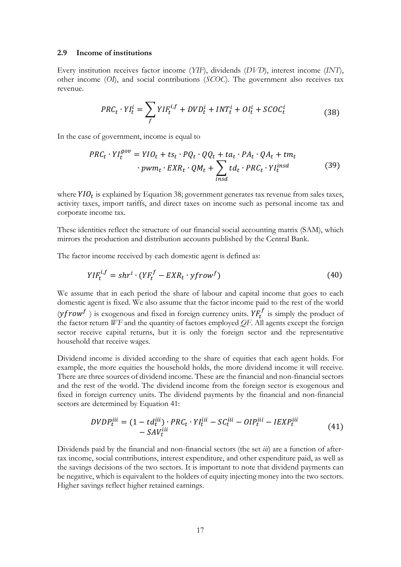#### **2.9 Income of institutions**

Every institution receives factor income (*YIF*), dividends (*DVD*), interest income (*INT*), other income (*OI*), and social contributions (*SCOC*). The government also receives tax revenue.

$$
PRC_t \cdot YI_t^i = \sum_f YIF_t^{i,f} + DVD_t^i + INT_t^i + OI_t^i + SCOC_t^i \tag{38}
$$

In the case of government, income is equal to

$$
PRC_t \cdot YI_t^{gov} = YIO_t + ts_t \cdot PQ_t \cdot QQ_t + ta_t \cdot PA_t \cdot QA_t + tm_t
$$
  
\n
$$
\cdot \text{pwm}_t \cdot EXR_t \cdot QM_t + \sum_{insd} td_t \cdot PRC_t \cdot YI_t^{insd}
$$
 (39)

where  $YIO_t$  is explained by Equation 38; government generates tax revenue from sales taxes, activity taxes, import tariffs, and direct taxes on income such as personal income tax and corporate income tax.

These identities reflect the structure of our financial social accounting matrix (SAM), which mirrors the production and distribution accounts published by the Central Bank.

The factor income received by each domestic agent is defined as:

$$
YIF_t^{i,f} = shr^i \cdot (YF_t^f - EXR_t \cdot yfrow^f) \tag{40}
$$

We assume that in each period the share of labour and capital income that goes to each domestic agent is fixed. We also assume that the factor income paid to the rest of the world  $(yfrow^f)$  is exogenous and fixed in foreign currency units.  $YF_t^f$  is simply the product of the factor return *WF* and the quantity of factors employed *QF*. All agents except the foreign sector receive capital returns, but it is only the foreign sector and the representative household that receive wages.

Dividend income is divided according to the share of equities that each agent holds. For example, the more equities the household holds, the more dividend income it will receive. There are three sources of dividend income. These are the financial and non-financial sectors and the rest of the world. The dividend income from the foreign sector is exogenous and fixed in foreign currency units. The dividend payments by the financial and non-financial sectors are determined by Equation 41:

$$
DVDP_t^{iii} = (1 - td_t^{iii}) \cdot PRC_t \cdot YI_t^{iii} - SC_t^{iii} - OIP_t^{iii} - IEXP_t^{iii}
$$
  
- 
$$
SAV_t^{iii}
$$
 (41)

Dividends paid by the financial and non-financial sectors (the set *iii*) are a function of aftertax income, social contributions, interest expenditure, and other expenditure paid, as well as the savings decisions of the two sectors. It is important to note that dividend payments can be negative, which is equivalent to the holders of equity injecting money into the two sectors. Higher savings reflect higher retained earnings.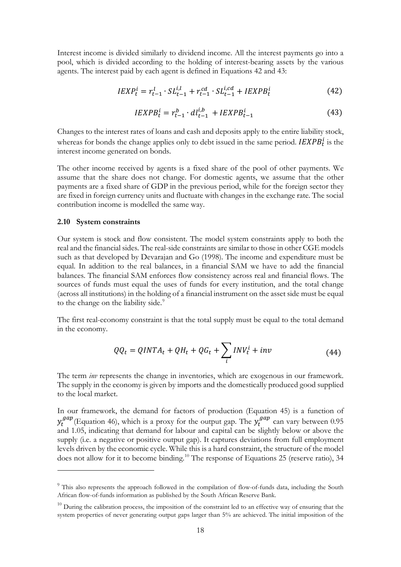Interest income is divided similarly to dividend income. All the interest payments go into a pool, which is divided according to the holding of interest-bearing assets by the various agents. The interest paid by each agent is defined in Equations 42 and 43:

$$
IEXP_t^i = r_{t-1}^l \cdot SL_{t-1}^{i,l} + r_{t-1}^{cd} \cdot SL_{t-1}^{i,cd} + IEXPB_t^i
$$
\n
$$
(42)
$$

$$
IEXPB_t^i = r_{t-1}^b \cdot dl_{t-1}^{i,b} + IEXPB_{t-1}^i \tag{43}
$$

Changes to the interest rates of loans and cash and deposits apply to the entire liability stock, whereas for bonds the change applies only to debt issued in the same period.  $\textit{IEXPB}_t^1$  is the interest income generated on bonds.

The other income received by agents is a fixed share of the pool of other payments. We assume that the share does not change. For domestic agents, we assume that the other payments are a fixed share of GDP in the previous period, while for the foreign sector they are fixed in foreign currency units and fluctuate with changes in the exchange rate. The social contribution income is modelled the same way.

#### **2.10 System constraints**

-

Our system is stock and flow consistent. The model system constraints apply to both the real and the financial sides. The real-side constraints are similar to those in other CGE models such as that developed by Devarajan and Go (1998). The income and expenditure must be equal. In addition to the real balances, in a financial SAM we have to add the financial balances. The financial SAM enforces flow consistency across real and financial flows. The sources of funds must equal the uses of funds for every institution, and the total change (across all institutions) in the holding of a financial instrument on the asset side must be equal to the change on the liability side.<sup>[9](#page-19-0)</sup>

The first real-economy constraint is that the total supply must be equal to the total demand in the economy.

$$
QQ_t = QINTA_t + QH_t + QG_t + \sum_i INV_t^i + inv \tag{44}
$$

The term *inv* represents the change in inventories, which are exogenous in our framework. The supply in the economy is given by imports and the domestically produced good supplied to the local market.

In our framework, the demand for factors of production (Equation 45) is a function of  $y_t^{gap}$  (Equation 46), which is a proxy for the output gap. The  $y_t^{gap}$  can vary between 0.95 and 1.05, indicating that demand for labour and capital can be slightly below or above the supply (i.e. a negative or positive output gap). It captures deviations from full employment levels driven by the economic cycle. While this is a hard constraint, the structure of the model does not allow for it to become binding.<sup>[10](#page-19-1)</sup> The response of Equations 25 (reserve ratio), 34

<span id="page-19-0"></span><sup>&</sup>lt;sup>9</sup> This also represents the approach followed in the compilation of flow-of-funds data, including the South African flow-of-funds information as published by the South African Reserve Bank.

<span id="page-19-1"></span> $10$  During the calibration process, the imposition of the constraint led to an effective way of ensuring that the system properties of never generating output gaps larger than 5% are achieved. The initial imposition of the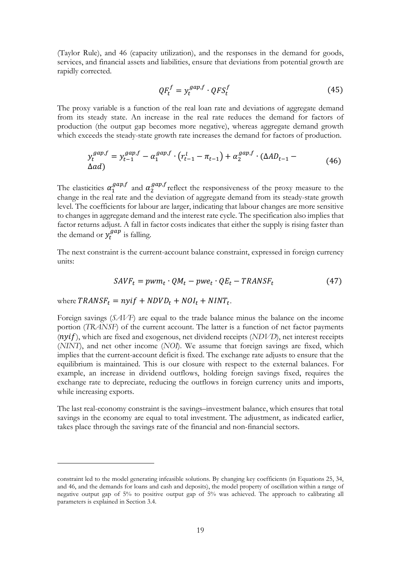(Taylor Rule), and 46 (capacity utilization), and the responses in the demand for goods, services, and financial assets and liabilities, ensure that deviations from potential growth are rapidly corrected.

$$
QF_t^f = y_t^{gap,f} \cdot QFS_t^f \tag{45}
$$

The proxy variable is a function of the real loan rate and deviations of aggregate demand from its steady state. An increase in the real rate reduces the demand for factors of production (the output gap becomes more negative), whereas aggregate demand growth which exceeds the steady-state growth rate increases the demand for factors of production.

$$
y_t^{gap,f} = y_{t-1}^{gap,f} - \alpha_1^{gap,f} \cdot (r_{t-1}^l - \pi_{t-1}) + \alpha_2^{gap,f} \cdot (\Delta A D_{t-1} - \Delta A D_{t-1}) \tag{46}
$$

The elasticities  $\alpha_1^{gap,f}$  and  $\alpha_2^{gap,f}$  reflect the responsiveness of the proxy measure to the change in the real rate and the deviation of aggregate demand from its steady-state growth level. The coefficients for labour are larger, indicating that labour changes are more sensitive to changes in aggregate demand and the interest rate cycle. The specification also implies that factor returns adjust. A fall in factor costs indicates that either the supply is rising faster than the demand or  $y_t^{gap}$  is falling.

The next constraint is the current-account balance constraint, expressed in foreign currency units:

$$
SAVF_t = pwm_t \cdot QM_t - pwe_t \cdot QE_t - TRANSF_t \tag{47}
$$

where  $TRANSF_t = n y i f + N DVD_t + NOI_t + NINT_t$ .

<u>.</u>

Foreign savings (*SAVF*) are equal to the trade balance minus the balance on the income portion (*TRANSF*) of the current account. The latter is a function of net factor payments (*nyif*), which are fixed and exogenous, net dividend receipts (*NDVD*), net interest receipts (*NINT*), and net other income (*NOI*). We assume that foreign savings are fixed, which implies that the current-account deficit is fixed. The exchange rate adjusts to ensure that the equilibrium is maintained. This is our closure with respect to the external balances. For example, an increase in dividend outflows, holding foreign savings fixed, requires the exchange rate to depreciate, reducing the outflows in foreign currency units and imports, while increasing exports.

The last real-economy constraint is the savings–investment balance, which ensures that total savings in the economy are equal to total investment. The adjustment, as indicated earlier, takes place through the savings rate of the financial and non-financial sectors.

constraint led to the model generating infeasible solutions. By changing key coefficients (in Equations 25, 34, and 46, and the demands for loans and cash and deposits), the model property of oscillation within a range of negative output gap of 5% to positive output gap of 5% was achieved. The approach to calibrating all parameters is explained in Section 3.4.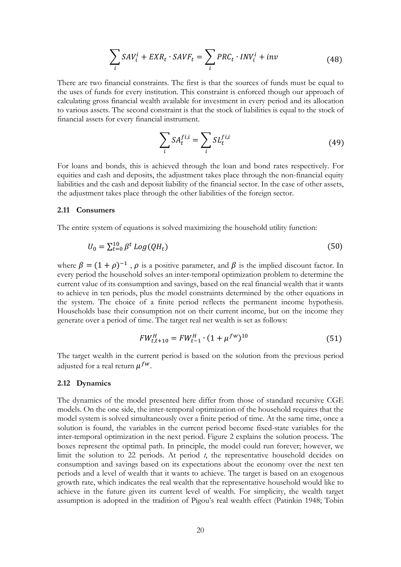$$
\sum_{i} SAV_i^i + EXR_t \cdot SAVF_t = \sum_{i} PRC_t \cdot INV_i^i + inv \tag{48}
$$

There are two financial constraints. The first is that the sources of funds must be equal to the uses of funds for every institution. This constraint is enforced though our approach of calculating gross financial wealth available for investment in every period and its allocation to various assets. The second constraint is that the stock of liabilities is equal to the stock of financial assets for every financial instrument.

$$
\sum_{i} SA_t^{fi,i} = \sum_{i} SL_t^{fi,i}
$$
\n(49)

For loans and bonds, this is achieved through the loan and bond rates respectively. For equities and cash and deposits, the adjustment takes place through the non-financial equity liabilities and the cash and deposit liability of the financial sector. In the case of other assets, the adjustment takes place through the other liabilities of the foreign sector.

#### **2.11 Consumers**

The entire system of equations is solved maximizing the household utility function:

$$
U_0 = \sum_{t=0}^{10} \beta^t \log(QH_t) \tag{50}
$$

where  $\beta = (1 + \rho)^{-1}$ ,  $\rho$  is a positive parameter, and  $\beta$  is the implied discount factor. In every period the household solves an inter-temporal optimization problem to determine the current value of its consumption and savings, based on the real financial wealth that it wants to achieve in ten periods, plus the model constraints determined by the other equations in the system. The choice of a finite period reflects the permanent income hypothesis. Households base their consumption not on their current income, but on the income they generate over a period of time. The target real net wealth is set as follows:

$$
FW_{t,t+10}^H = FW_{t-1}^H \cdot (1 + \mu^{fw})^{10}
$$
 (51)

The target wealth in the current period is based on the solution from the previous period adjusted for a real return  $\mu^{fw}$ .

#### **2.12 Dynamics**

The dynamics of the model presented here differ from those of standard recursive CGE models. On the one side, the inter-temporal optimization of the household requires that the model system is solved simultaneously over a finite period of time. At the same time, once a solution is found, the variables in the current period become fixed-state variables for the inter-temporal optimization in the next period. Figure 2 explains the solution process. The boxes represent the optimal path. In principle, the model could run forever; however, we limit the solution to 22 periods. At period *t*, the representative household decides on consumption and savings based on its expectations about the economy over the next ten periods and a level of wealth that it wants to achieve. The target is based on an exogenous growth rate, which indicates the real wealth that the representative household would like to achieve in the future given its current level of wealth. For simplicity, the wealth target assumption is adopted in the tradition of Pigou's real wealth effect (Patinkin 1948; Tobin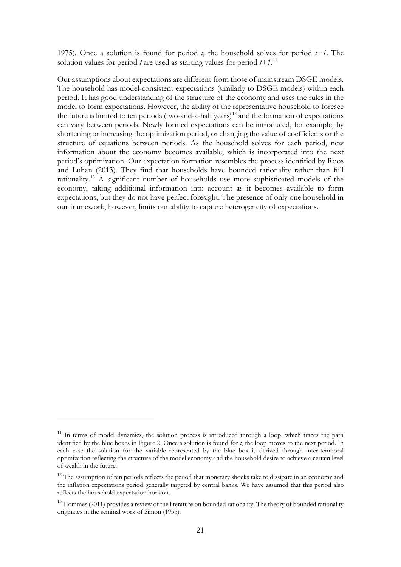1975). Once a solution is found for period *t*, the household solves for period *t+1*. The solution values for period *t* are used as starting values for period *t+1*. [11](#page-22-0)

Our assumptions about expectations are different from those of mainstream DSGE models. The household has model-consistent expectations (similarly to DSGE models) within each period. It has good understanding of the structure of the economy and uses the rules in the model to form expectations. However, the ability of the representative household to foresee the future is limited to ten periods (two-and-a-half years)<sup>[12](#page-22-1)</sup> and the formation of expectations can vary between periods. Newly formed expectations can be introduced, for example, by shortening or increasing the optimization period, or changing the value of coefficients or the structure of equations between periods. As the household solves for each period, new information about the economy becomes available, which is incorporated into the next period's optimization. Our expectation formation resembles the process identified by Roos and Luhan (2013). They find that households have bounded rationality rather than full rationality[.13](#page-22-2) A significant number of households use more sophisticated models of the economy, taking additional information into account as it becomes available to form expectations, but they do not have perfect foresight. The presence of only one household in our framework, however, limits our ability to capture heterogeneity of expectations.

-

<span id="page-22-0"></span><sup>&</sup>lt;sup>11</sup> In terms of model dynamics, the solution process is introduced through a loop, which traces the path identified by the blue boxes in Figure 2. Once a solution is found for *t*, the loop moves to the next period. In each case the solution for the variable represented by the blue box is derived through inter-temporal optimization reflecting the structure of the model economy and the household desire to achieve a certain level of wealth in the future.

<span id="page-22-1"></span><sup>&</sup>lt;sup>12</sup> The assumption of ten periods reflects the period that monetary shocks take to dissipate in an economy and the inflation expectations period generally targeted by central banks. We have assumed that this period also reflects the household expectation horizon.

<span id="page-22-2"></span><sup>&</sup>lt;sup>13</sup> Hommes (2011) provides a review of the literature on bounded rationality. The theory of bounded rationality originates in the seminal work of Simon (1955).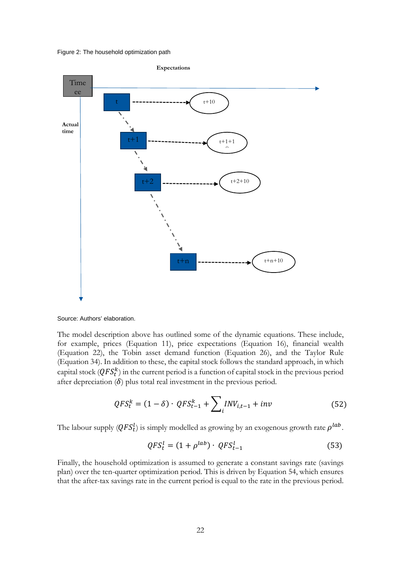Figure 2: The household optimization path



Source: Authors' elaboration.

The model description above has outlined some of the dynamic equations. These include, for example, prices (Equation 11), price expectations (Equation 16), financial wealth (Equation 22), the Tobin asset demand function (Equation 26), and the Taylor Rule (Equation 34). In addition to these, the capital stock follows the standard approach, in which capital stock  $(QFS_t^k)$  in the current period is a function of capital stock in the previous period after depreciation  $(\delta)$  plus total real investment in the previous period.

$$
QFS_t^k = (1 - \delta) \cdot QFS_{t-1}^k + \sum_{i} INV_{i,t-1} + inv
$$
 (52)

The labour supply  $(QFS_t^l)$  is simply modelled as growing by an exogenous growth rate  $\rho^{lab}.$ 

$$
QFS_t^l = (1 + \rho^{lab}) \cdot QFS_{t-1}^l \tag{53}
$$

Finally, the household optimization is assumed to generate a constant savings rate (savings plan) over the ten-quarter optimization period. This is driven by Equation 54, which ensures that the after-tax savings rate in the current period is equal to the rate in the previous period.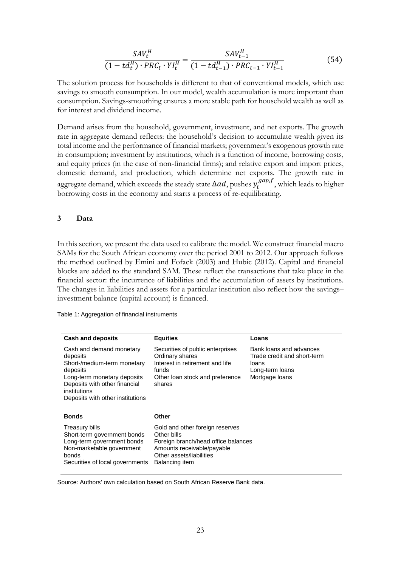$$
\frac{SAV_t^H}{(1 - td_t^H) \cdot PRC_t \cdot YI_t^H} = \frac{SAV_{t-1}^H}{(1 - td_{t-1}^H) \cdot PRC_{t-1} \cdot YI_{t-1}^H}
$$
(54)

The solution process for households is different to that of conventional models, which use savings to smooth consumption. In our model, wealth accumulation is more important than consumption. Savings-smoothing ensures a more stable path for household wealth as well as for interest and dividend income.

Demand arises from the household, government, investment, and net exports. The growth rate in aggregate demand reflects: the household's decision to accumulate wealth given its total income and the performance of financial markets; government's exogenous growth rate in consumption; investment by institutions, which is a function of income, borrowing costs, and equity prices (in the case of non-financial firms); and relative export and import prices, domestic demand, and production, which determine net exports. The growth rate in aggregate demand, which exceeds the steady state  $\Delta ad$ , pushes  $y_t^{gap,f}$ , which leads to higher borrowing costs in the economy and starts a process of re-equilibrating.

### **3 Data**

In this section, we present the data used to calibrate the model. We construct financial macro SAMs for the South African economy over the period 2001 to 2012. Our approach follows the method outlined by Emini and Fofack (2003) and Hubic (2012). Capital and financial blocks are added to the standard SAM. These reflect the transactions that take place in the financial sector: the incurrence of liabilities and the accumulation of assets by institutions. The changes in liabilities and assets for a particular institution also reflect how the savings– investment balance (capital account) is financed.

Table 1: Aggregation of financial instruments

| <b>Cash and deposits</b>                                                                                                                                                                            | <b>Equities</b>                                                                                                                                                   | Loans                                                                                                |
|-----------------------------------------------------------------------------------------------------------------------------------------------------------------------------------------------------|-------------------------------------------------------------------------------------------------------------------------------------------------------------------|------------------------------------------------------------------------------------------------------|
| Cash and demand monetary<br>deposits<br>Short-/medium-term monetary<br>deposits<br>Long-term monetary deposits<br>Deposits with other financial<br>institutions<br>Deposits with other institutions | Securities of public enterprises<br>Ordinary shares<br>Interest in retirement and life<br>funds<br>Other loan stock and preference<br>shares                      | Bank loans and advances<br>Trade credit and short-term<br>loans<br>Long-term loans<br>Mortgage loans |
| <b>Bonds</b>                                                                                                                                                                                        | Other                                                                                                                                                             |                                                                                                      |
| <b>Treasury bills</b><br>Short-term government bonds<br>Long-term government bonds<br>Non-marketable government<br>bonds<br>Securities of local governments                                         | Gold and other foreign reserves<br>Other bills<br>Foreign branch/head office balances<br>Amounts receivable/payable<br>Other assets/liabilities<br>Balancing item |                                                                                                      |

Source: Authors' own calculation based on South African Reserve Bank data.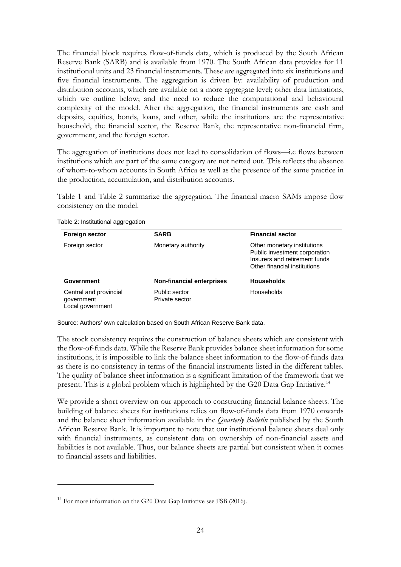The financial block requires flow-of-funds data, which is produced by the South African Reserve Bank (SARB) and is available from 1970. The South African data provides for 11 institutional units and 23 financial instruments. These are aggregated into six institutions and five financial instruments. The aggregation is driven by: availability of production and distribution accounts, which are available on a more aggregate level; other data limitations, which we outline below; and the need to reduce the computational and behavioural complexity of the model. After the aggregation, the financial instruments are cash and deposits, equities, bonds, loans, and other, while the institutions are the representative household, the financial sector, the Reserve Bank, the representative non-financial firm, government, and the foreign sector.

The aggregation of institutions does not lead to consolidation of flows—i.e flows between institutions which are part of the same category are not netted out. This reflects the absence of whom-to-whom accounts in South Africa as well as the presence of the same practice in the production, accumulation, and distribution accounts.

Table 1 and Table 2 summarize the aggregation. The financial macro SAMs impose flow consistency on the model.

| Foreign sector                                           | <b>SARB</b>                     | <b>Financial sector</b>                                                                                                       |
|----------------------------------------------------------|---------------------------------|-------------------------------------------------------------------------------------------------------------------------------|
| Foreign sector                                           | Monetary authority              | Other monetary institutions<br>Public investment corporation<br>Insurers and retirement funds<br>Other financial institutions |
| Government                                               | Non-financial enterprises       | <b>Households</b>                                                                                                             |
| Central and provincial<br>government<br>Local government | Public sector<br>Private sector | <b>Households</b>                                                                                                             |

#### Table 2: Institutional aggregation

<u>.</u>

Source: Authors' own calculation based on South African Reserve Bank data.

The stock consistency requires the construction of balance sheets which are consistent with the flow-of-funds data. While the Reserve Bank provides balance sheet information for some institutions, it is impossible to link the balance sheet information to the flow-of-funds data as there is no consistency in terms of the financial instruments listed in the different tables. The quality of balance sheet information is a significant limitation of the framework that we present. This is a global problem which is highlighted by the G20 Data Gap Initiative.<sup>[14](#page-25-0)</sup>

We provide a short overview on our approach to constructing financial balance sheets. The building of balance sheets for institutions relies on flow-of-funds data from 1970 onwards and the balance sheet information available in the *Quarterly Bulletin* published by the South African Reserve Bank. It is important to note that our institutional balance sheets deal only with financial instruments, as consistent data on ownership of non-financial assets and liabilities is not available. Thus, our balance sheets are partial but consistent when it comes to financial assets and liabilities.

<span id="page-25-0"></span><sup>&</sup>lt;sup>14</sup> For more information on the G20 Data Gap Initiative see FSB (2016).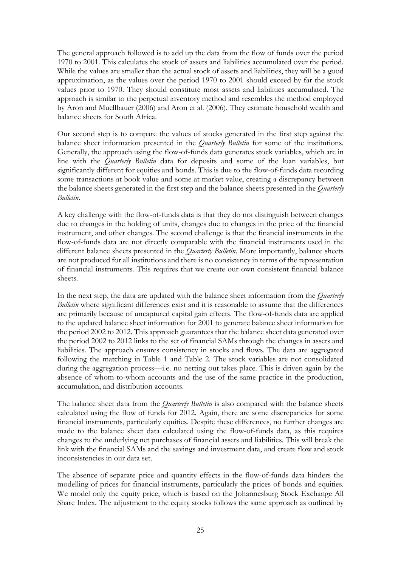The general approach followed is to add up the data from the flow of funds over the period 1970 to 2001. This calculates the stock of assets and liabilities accumulated over the period. While the values are smaller than the actual stock of assets and liabilities, they will be a good approximation, as the values over the period 1970 to 2001 should exceed by far the stock values prior to 1970. They should constitute most assets and liabilities accumulated. The approach is similar to the perpetual inventory method and resembles the method employed by Aron and Muellbauer (2006) and Aron et al. (2006). They estimate household wealth and balance sheets for South Africa.

Our second step is to compare the values of stocks generated in the first step against the balance sheet information presented in the *Quarterly Bulletin* for some of the institutions. Generally, the approach using the flow-of-funds data generates stock variables, which are in line with the *Quarterly Bulletin* data for deposits and some of the loan variables, but significantly different for equities and bonds. This is due to the flow-of-funds data recording some transactions at book value and some at market value, creating a discrepancy between the balance sheets generated in the first step and the balance sheets presented in the *Quarterly Bulletin*.

A key challenge with the flow-of-funds data is that they do not distinguish between changes due to changes in the holding of units, changes due to changes in the price of the financial instrument, and other changes. The second challenge is that the financial instruments in the flow-of-funds data are not directly comparable with the financial instruments used in the different balance sheets presented in the *Quarterly Bulletin*. More importantly, balance sheets are not produced for all institutions and there is no consistency in terms of the representation of financial instruments. This requires that we create our own consistent financial balance sheets.

In the next step, the data are updated with the balance sheet information from the *Quarterly Bulletin* where significant differences exist and it is reasonable to assume that the differences are primarily because of uncaptured capital gain effects. The flow-of-funds data are applied to the updated balance sheet information for 2001 to generate balance sheet information for the period 2002 to 2012. This approach guarantees that the balance sheet data generated over the period 2002 to 2012 links to the set of financial SAMs through the changes in assets and liabilities. The approach ensures consistency in stocks and flows. The data are aggregated following the matching in Table 1 and Table 2. The stock variables are not consolidated during the aggregation process—i.e. no netting out takes place. This is driven again by the absence of whom-to-whom accounts and the use of the same practice in the production, accumulation, and distribution accounts.

The balance sheet data from the *Quarterly Bulletin* is also compared with the balance sheets calculated using the flow of funds for 2012. Again, there are some discrepancies for some financial instruments, particularly equities. Despite these differences, no further changes are made to the balance sheet data calculated using the flow-of-funds data, as this requires changes to the underlying net purchases of financial assets and liabilities. This will break the link with the financial SAMs and the savings and investment data, and create flow and stock inconsistencies in our data set.

The absence of separate price and quantity effects in the flow-of-funds data hinders the modelling of prices for financial instruments, particularly the prices of bonds and equities. We model only the equity price, which is based on the Johannesburg Stock Exchange All Share Index. The adjustment to the equity stocks follows the same approach as outlined by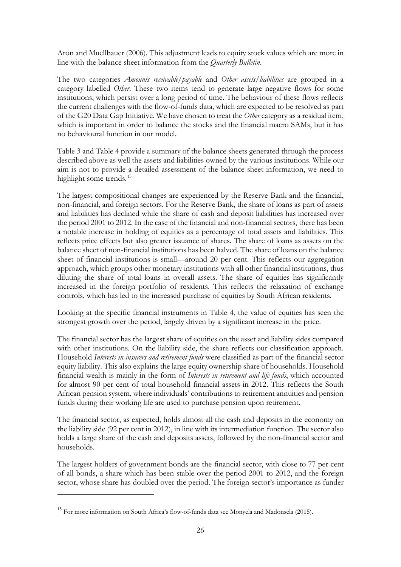Aron and Muellbauer (2006). This adjustment leads to equity stock values which are more in line with the balance sheet information from the *Quarterly Bulletin*.

The two categories *Amounts receivable/payable* and *Other assets/liabilities* are grouped in a category labelled *Other*. These two items tend to generate large negative flows for some institutions, which persist over a long period of time. The behaviour of these flows reflects the current challenges with the flow-of-funds data, which are expected to be resolved as part of the G20 Data Gap Initiative. We have chosen to treat the *Other* category as a residual item, which is important in order to balance the stocks and the financial macro SAMs, but it has no behavioural function in our model.

Table 3 and Table 4 provide a summary of the balance sheets generated through the process described above as well the assets and liabilities owned by the various institutions. While our aim is not to provide a detailed assessment of the balance sheet information, we need to highlight some trends.<sup>[15](#page-27-0)</sup>

The largest compositional changes are experienced by the Reserve Bank and the financial, non-financial, and foreign sectors. For the Reserve Bank, the share of loans as part of assets and liabilities has declined while the share of cash and deposit liabilities has increased over the period 2001 to 2012. In the case of the financial and non-financial sectors, there has been a notable increase in holding of equities as a percentage of total assets and liabilities. This reflects price effects but also greater issuance of shares. The share of loans as assets on the balance sheet of non-financial institutions has been halved. The share of loans on the balance sheet of financial institutions is small—around 20 per cent. This reflects our aggregation approach, which groups other monetary institutions with all other financial institutions, thus diluting the share of total loans in overall assets. The share of equities has significantly increased in the foreign portfolio of residents. This reflects the relaxation of exchange controls, which has led to the increased purchase of equities by South African residents.

Looking at the specific financial instruments in Table 4, the value of equities has seen the strongest growth over the period, largely driven by a significant increase in the price.

The financial sector has the largest share of equities on the asset and liability sides compared with other institutions. On the liability side, the share reflects our classification approach. Household *Interests in insurers and retirement funds* were classified as part of the financial sector equity liability. This also explains the large equity ownership share of households. Household financial wealth is mainly in the form of *Interests in retirement and life funds*, which accounted for almost 90 per cent of total household financial assets in 2012. This reflects the South African pension system, where individuals' contributions to retirement annuities and pension funds during their working life are used to purchase pension upon retirement.

The financial sector, as expected, holds almost all the cash and deposits in the economy on the liability side (92 per cent in 2012), in line with its intermediation function. The sector also holds a large share of the cash and deposits assets, followed by the non-financial sector and households.

The largest holders of government bonds are the financial sector, with close to 77 per cent of all bonds, a share which has been stable over the period 2001 to 2012, and the foreign sector, whose share has doubled over the period. The foreign sector's importance as funder

-

<span id="page-27-0"></span><sup>&</sup>lt;sup>15</sup> For more information on South Africa's flow-of-funds data see Monyela and Madonsela (2015).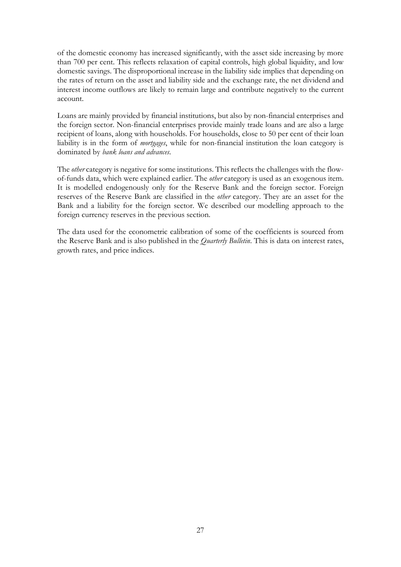of the domestic economy has increased significantly, with the asset side increasing by more than 700 per cent. This reflects relaxation of capital controls, high global liquidity, and low domestic savings. The disproportional increase in the liability side implies that depending on the rates of return on the asset and liability side and the exchange rate, the net dividend and interest income outflows are likely to remain large and contribute negatively to the current account.

Loans are mainly provided by financial institutions, but also by non-financial enterprises and the foreign sector. Non-financial enterprises provide mainly trade loans and are also a large recipient of loans, along with households. For households, close to 50 per cent of their loan liability is in the form of *mortgages*, while for non-financial institution the loan category is dominated by *bank loans and advances*.

The *other* category is negative for some institutions. This reflects the challenges with the flowof-funds data, which were explained earlier. The *other* category is used as an exogenous item. It is modelled endogenously only for the Reserve Bank and the foreign sector. Foreign reserves of the Reserve Bank are classified in the *other* category. They are an asset for the Bank and a liability for the foreign sector. We described our modelling approach to the foreign currency reserves in the previous section.

The data used for the econometric calibration of some of the coefficients is sourced from the Reserve Bank and is also published in the *Quarterly Bulletin*. This is data on interest rates, growth rates, and price indices.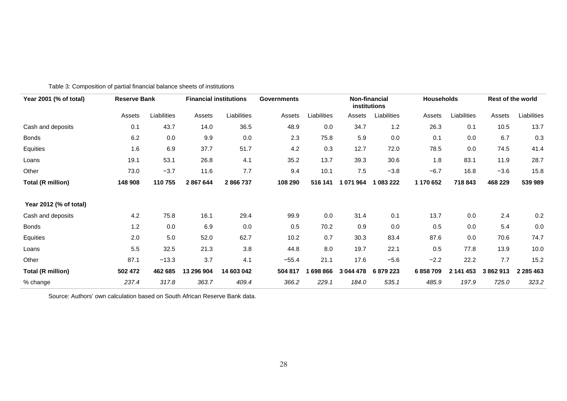| Year 2001 (% of total)<br><b>Reserve Bank</b> |         | <b>Financial institutions</b> |            | <b>Governments</b> | Non-financial<br>institutions |             |           |             | <b>Households</b> |             | Rest of the world |               |
|-----------------------------------------------|---------|-------------------------------|------------|--------------------|-------------------------------|-------------|-----------|-------------|-------------------|-------------|-------------------|---------------|
|                                               | Assets  | Liabilities                   | Assets     | Liabilities        | Assets                        | Liabilities | Assets    | Liabilities | Assets            | Liabilities | Assets            | Liabilities   |
| Cash and deposits                             | 0.1     | 43.7                          | 14.0       | 36.5               | 48.9                          | 0.0         | 34.7      | $1.2$       | 26.3              | 0.1         | 10.5              | 13.7          |
| <b>Bonds</b>                                  | 6.2     | 0.0                           | 9.9        | 0.0                | 2.3                           | 75.8        | 5.9       | 0.0         | 0.1               | 0.0         | 6.7               | 0.3           |
| Equities                                      | 1.6     | 6.9                           | 37.7       | 51.7               | 4.2                           | 0.3         | 12.7      | 72.0        | 78.5              | 0.0         | 74.5              | 41.4          |
| Loans                                         | 19.1    | 53.1                          | 26.8       | 4.1                | 35.2                          | 13.7        | 39.3      | 30.6        | 1.8               | 83.1        | 11.9              | 28.7          |
| Other                                         | 73.0    | $-3.7$                        | 11.6       | 7.7                | 9.4                           | 10.1        | 7.5       | $-3.8$      | $-6.7$            | 16.8        | $-3.6$            | 15.8          |
| <b>Total (R million)</b>                      | 148 908 | 110755                        | 2867644    | 2866737            | 108 290                       | 516 141     | 1071964   | 1 083 222   | 1 170 652         | 718843      | 468 229           | 539 989       |
| Year 2012 (% of total)                        |         |                               |            |                    |                               |             |           |             |                   |             |                   |               |
| Cash and deposits                             | 4.2     | 75.8                          | 16.1       | 29.4               | 99.9                          | 0.0         | 31.4      | 0.1         | 13.7              | 0.0         | 2.4               | 0.2           |
| Bonds                                         | 1.2     | 0.0                           | 6.9        | 0.0                | 0.5                           | 70.2        | 0.9       | 0.0         | 0.5               | 0.0         | 5.4               | 0.0           |
| Equities                                      | 2.0     | 5.0                           | 52.0       | 62.7               | 10.2                          | 0.7         | 30.3      | 83.4        | 87.6              | 0.0         | 70.6              | 74.7          |
| Loans                                         | 5.5     | 32.5                          | 21.3       | 3.8                | 44.8                          | 8.0         | 19.7      | 22.1        | 0.5               | 77.8        | 13.9              | 10.0          |
| Other                                         | 87.1    | $-13.3$                       | 3.7        | 4.1                | $-55.4$                       | 21.1        | 17.6      | $-5.6$      | $-2.2$            | 22.2        | 7.7               | 15.2          |
| <b>Total (R million)</b>                      | 502 472 | 462 685                       | 13 296 904 | 14 603 042         | 504 817                       | 698 866     | 3 044 478 | 6879223     | 6858709           | 2 141 453   | 3862913           | 2 2 8 5 4 6 3 |
| % change                                      | 237.4   | 317.8                         | 363.7      | 409.4              | 366.2                         | 229.1       | 184.0     | 535.1       | 485.9             | 197.9       | 725.0             | 323.2         |

Table 3: Composition of partial financial balance sheets of institutions

Source: Authors' own calculation based on South African Reserve Bank data.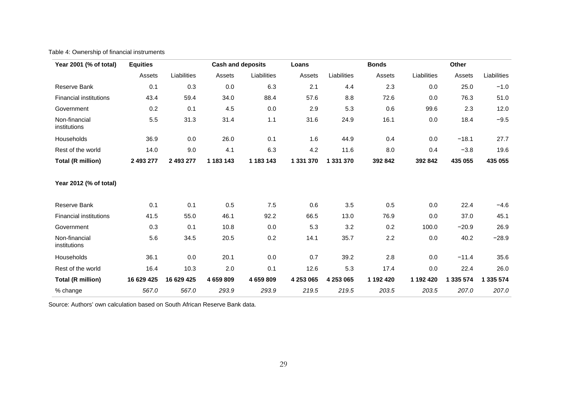## Table 4: Ownership of financial instruments

| Year 2001 (% of total)        | <b>Equities</b> |             | <b>Cash and deposits</b> |             | Loans     |             | <b>Bonds</b> |             | Other     |             |
|-------------------------------|-----------------|-------------|--------------------------|-------------|-----------|-------------|--------------|-------------|-----------|-------------|
|                               | Assets          | Liabilities | Assets                   | Liabilities | Assets    | Liabilities | Assets       | Liabilities | Assets    | Liabilities |
| Reserve Bank                  | 0.1             | 0.3         | 0.0                      | 6.3         | 2.1       | 4.4         | 2.3          | 0.0         | 25.0      | $-1.0$      |
| <b>Financial institutions</b> | 43.4            | 59.4        | 34.0                     | 88.4        | 57.6      | 8.8         | 72.6         | 0.0         | 76.3      | 51.0        |
| Government                    | 0.2             | 0.1         | 4.5                      | 0.0         | 2.9       | 5.3         | 0.6          | 99.6        | 2.3       | 12.0        |
| Non-financial<br>institutions | 5.5             | 31.3        | 31.4                     | 1.1         | 31.6      | 24.9        | 16.1         | 0.0         | 18.4      | $-9.5$      |
| Households                    | 36.9            | 0.0         | 26.0                     | 0.1         | 1.6       | 44.9        | 0.4          | 0.0         | $-18.1$   | 27.7        |
| Rest of the world             | 14.0            | 9.0         | 4.1                      | 6.3         | 4.2       | 11.6        | 8.0          | 0.4         | $-3.8$    | 19.6        |
| <b>Total (R million)</b>      | 2 493 277       | 2 493 277   | 1 183 143                | 1 183 143   | 1 331 370 | 1 331 370   | 392 842      | 392 842     | 435 055   | 435 055     |
| Year 2012 (% of total)        |                 |             |                          |             |           |             |              |             |           |             |
| Reserve Bank                  | 0.1             | 0.1         | 0.5                      | 7.5         | 0.6       | 3.5         | 0.5          | 0.0         | 22.4      | $-4.6$      |
| <b>Financial institutions</b> | 41.5            | 55.0        | 46.1                     | 92.2        | 66.5      | 13.0        | 76.9         | 0.0         | 37.0      | 45.1        |
| Government                    | 0.3             | 0.1         | 10.8                     | 0.0         | 5.3       | 3.2         | 0.2          | 100.0       | $-20.9$   | 26.9        |
| Non-financial<br>institutions | 5.6             | 34.5        | 20.5                     | 0.2         | 14.1      | 35.7        | 2.2          | 0.0         | 40.2      | $-28.9$     |
| Households                    | 36.1            | 0.0         | 20.1                     | 0.0         | 0.7       | 39.2        | 2.8          | 0.0         | $-11.4$   | 35.6        |
| Rest of the world             | 16.4            | 10.3        | 2.0                      | 0.1         | 12.6      | 5.3         | 17.4         | 0.0         | 22.4      | 26.0        |
| <b>Total (R million)</b>      | 16 629 425      | 16 629 425  | 4 659 809                | 4 659 809   | 4 253 065 | 4 253 065   | 1 192 420    | 1 192 420   | 1 335 574 | 1 335 574   |
| % change                      | 567.0           | 567.0       | 293.9                    | 293.9       | 219.5     | 219.5       | 203.5        | 203.5       | 207.0     | 207.0       |

Source: Authors' own calculation based on South African Reserve Bank data.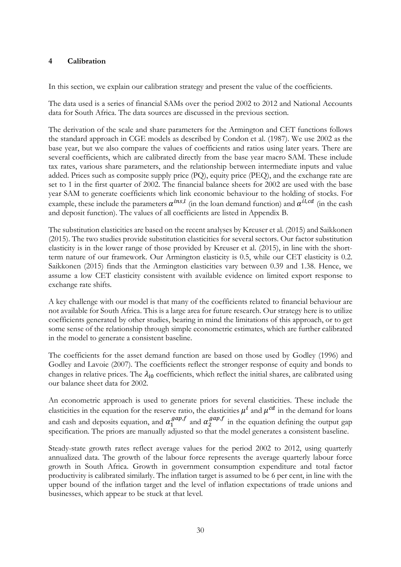## **4 Calibration**

In this section, we explain our calibration strategy and present the value of the coefficients.

The data used is a series of financial SAMs over the period 2002 to 2012 and National Accounts data for South Africa. The data sources are discussed in the previous section.

The derivation of the scale and share parameters for the Armington and CET functions follows the standard approach in CGE models as described by Condon et al. (1987). We use 2002 as the base year, but we also compare the values of coefficients and ratios using later years. There are several coefficients, which are calibrated directly from the base year macro SAM. These include tax rates, various share parameters, and the relationship between intermediate inputs and value added. Prices such as composite supply price (PQ), equity price (PEQ), and the exchange rate are set to 1 in the first quarter of 2002. The financial balance sheets for 2002 are used with the base year SAM to generate coefficients which link economic behaviour to the holding of stocks. For example, these include the parameters  $\alpha^{ins,l}$  (in the loan demand function) and  $\alpha^{il,cd}$  (in the cash and deposit function). The values of all coefficients are listed in Appendix B.

The substitution elasticities are based on the recent analyses by Kreuser et al. (2015) and Saikkonen (2015). The two studies provide substitution elasticities for several sectors. Our factor substitution elasticity is in the lower range of those provided by Kreuser et al. (2015), in line with the shortterm nature of our framework. Our Armington elasticity is 0.5, while our CET elasticity is 0.2. Saikkonen (2015) finds that the Armington elasticities vary between 0.39 and 1.38. Hence, we assume a low CET elasticity consistent with available evidence on limited export response to exchange rate shifts.

A key challenge with our model is that many of the coefficients related to financial behaviour are not available for South Africa. This is a large area for future research. Our strategy here is to utilize coefficients generated by other studies, bearing in mind the limitations of this approach, or to get some sense of the relationship through simple econometric estimates, which are further calibrated in the model to generate a consistent baseline.

The coefficients for the asset demand function are based on those used by Godley (1996) and Godley and Lavoie (2007). The coefficients reflect the stronger response of equity and bonds to changes in relative prices. The  $\lambda_{i0}$  coefficients, which reflect the initial shares, are calibrated using our balance sheet data for 2002.

An econometric approach is used to generate priors for several elasticities. These include the elasticities in the equation for the reserve ratio, the elasticities  $\mu^{l}$  and  $\mu^{cd}$  in the demand for loans and cash and deposits equation, and  $\alpha_1^{gap,f}$  and  $\alpha_2^{gap,f}$  in the equation defining the output gap specification. The priors are manually adjusted so that the model generates a consistent baseline.

Steady-state growth rates reflect average values for the period 2002 to 2012, using quarterly annualized data. The growth of the labour force represents the average quarterly labour force growth in South Africa. Growth in government consumption expenditure and total factor productivity is calibrated similarly. The inflation target is assumed to be 6 per cent, in line with the upper bound of the inflation target and the level of inflation expectations of trade unions and businesses, which appear to be stuck at that level.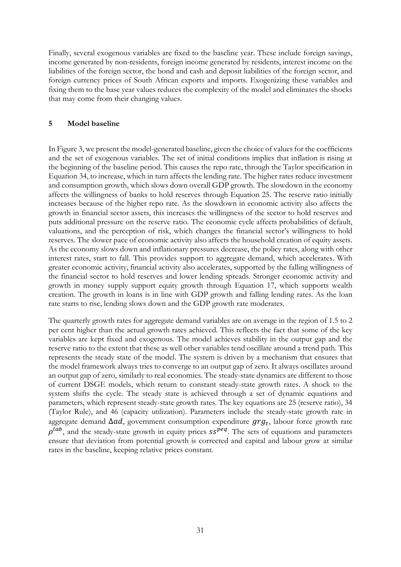Finally, several exogenous variables are fixed to the baseline year. These include foreign savings, income generated by non-residents, foreign income generated by residents, interest income on the liabilities of the foreign sector, the bond and cash and deposit liabilities of the foreign sector, and foreign currency prices of South African exports and imports. Exogenizing these variables and fixing them to the base year values reduces the complexity of the model and eliminates the shocks that may come from their changing values.

## **5 Model baseline**

In Figure 3, we present the model-generated baseline, given the choice of values for the coefficients and the set of exogenous variables. The set of initial conditions implies that inflation is rising at the beginning of the baseline period. This causes the repo rate, through the Taylor specification in Equation 34, to increase, which in turn affects the lending rate. The higher rates reduce investment and consumption growth, which slows down overall GDP growth. The slowdown in the economy affects the willingness of banks to hold reserves through Equation 25. The reserve ratio initially increases because of the higher repo rate. As the slowdown in economic activity also affects the growth in financial sector assets, this increases the willingness of the sector to hold reserves and puts additional pressure on the reserve ratio. The economic cycle affects probabilities of default, valuations, and the perception of risk, which changes the financial sector's willingness to hold reserves. The slower pace of economic activity also affects the household creation of equity assets. As the economy slows down and inflationary pressures decrease, the policy rates, along with other interest rates, start to fall. This provides support to aggregate demand, which accelerates. With greater economic activity, financial activity also accelerates, supported by the falling willingness of the financial sector to hold reserves and lower lending spreads. Stronger economic activity and growth in money supply support equity growth through Equation 17, which supports wealth creation. The growth in loans is in line with GDP growth and falling lending rates. As the loan rate starts to rise, lending slows down and the GDP growth rate moderates.

The quarterly growth rates for aggregate demand variables are on average in the region of 1.5 to 2 per cent higher than the actual growth rates achieved. This reflects the fact that some of the key variables are kept fixed and exogenous. The model achieves stability in the output gap and the reserve ratio to the extent that these as well other variables tend oscillate around a trend path. This represents the steady state of the model. The system is driven by a mechanism that ensures that the model framework always tries to converge to an output gap of zero. It always oscillates around an output gap of zero, similarly to real economies. The steady-state dynamics are different to those of current DSGE models, which return to constant steady-state growth rates. A shock to the system shifts the cycle. The steady state is achieved through a set of dynamic equations and parameters, which represent steady-state growth rates. The key equations are 25 (reserve ratio), 34 (Taylor Rule), and 46 (capacity utilization). Parameters include the steady-state growth rate in aggregate demand  $\Delta ad$ , government consumption expenditure  $grg_t$ , labour force growth rate  $\rho^{lab}$ , and the steady-state growth in equity prices  $ss^{peq}$ . The sets of equations and parameters ensure that deviation from potential growth is corrected and capital and labour grow at similar rates in the baseline, keeping relative prices constant.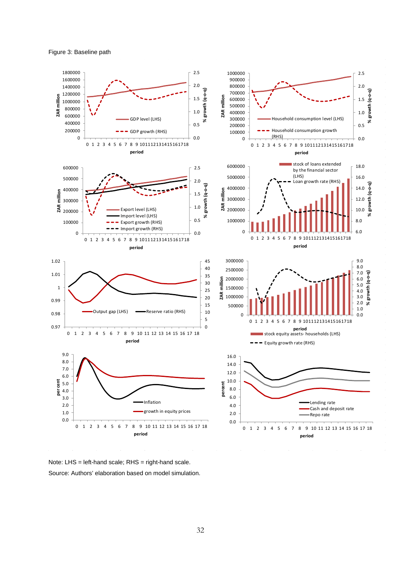



Note: LHS = left-hand scale; RHS = right-hand scale. Source: Authors' elaboration based on model simulation.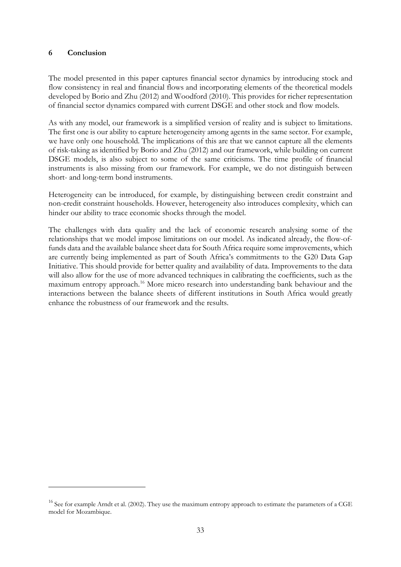## **6 Conclusion**

<u>.</u>

The model presented in this paper captures financial sector dynamics by introducing stock and flow consistency in real and financial flows and incorporating elements of the theoretical models developed by Borio and Zhu (2012) and Woodford (2010). This provides for richer representation of financial sector dynamics compared with current DSGE and other stock and flow models.

As with any model, our framework is a simplified version of reality and is subject to limitations. The first one is our ability to capture heterogeneity among agents in the same sector. For example, we have only one household. The implications of this are that we cannot capture all the elements of risk-taking as identified by Borio and Zhu (2012) and our framework, while building on current DSGE models, is also subject to some of the same criticisms. The time profile of financial instruments is also missing from our framework. For example, we do not distinguish between short- and long-term bond instruments.

Heterogeneity can be introduced, for example, by distinguishing between credit constraint and non-credit constraint households. However, heterogeneity also introduces complexity, which can hinder our ability to trace economic shocks through the model.

The challenges with data quality and the lack of economic research analysing some of the relationships that we model impose limitations on our model. As indicated already, the flow-offunds data and the available balance sheet data for South Africa require some improvements, which are currently being implemented as part of South Africa's commitments to the G20 Data Gap Initiative. This should provide for better quality and availability of data. Improvements to the data will also allow for the use of more advanced techniques in calibrating the coefficients, such as the maximum entropy approach.[16](#page-34-0) More micro research into understanding bank behaviour and the interactions between the balance sheets of different institutions in South Africa would greatly enhance the robustness of our framework and the results.

<span id="page-34-0"></span> $16$  See for example Arndt et al. (2002). They use the maximum entropy approach to estimate the parameters of a CGE model for Mozambique.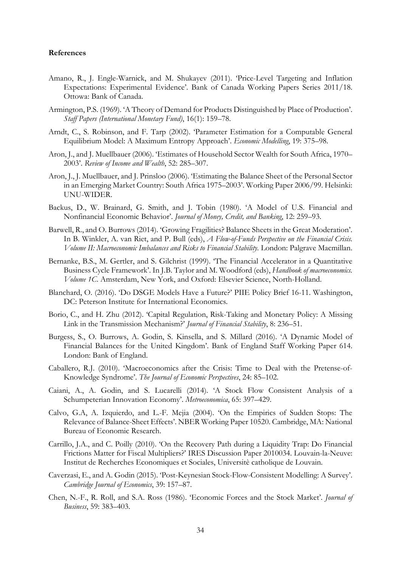#### **References**

- Amano, R., J. Engle-Warnick, and M. Shukayev (2011). 'Price-Level Targeting and Inflation Expectations: Experimental Evidence'. Bank of Canada Working Papers Series 2011/18. Ottowa: Bank of Canada.
- Armington, P.S. (1969). 'A Theory of Demand for Products Distinguished by Place of Production'. *Staff Papers (International Monetary Fund)*, 16(1): 159–78.
- Arndt, C., S. Robinson, and F. Tarp (2002). 'Parameter Estimation for a Computable General Equilibrium Model: A Maximum Entropy Approach'. *Economic Modelling*, 19: 375–98.
- Aron, J., and J. Muellbauer (2006). 'Estimates of Household Sector Wealth for South Africa, 1970– 2003'. *Review of Income and Wealth*, 52: 285–307.
- Aron, J., J. Muellbauer, and J. Prinsloo (2006). 'Estimating the Balance Sheet of the Personal Sector in an Emerging Market Country: South Africa 1975–2003'. Working Paper 2006/99. Helsinki: UNU-WIDER.
- Backus, D., W. Brainard, G. Smith, and J. Tobin (1980). 'A Model of U.S. Financial and Nonfinancial Economic Behavior'. *Journal of Money, Credit, and Banking*, 12: 259–93.
- Barwell, R., and O. Burrows (2014). 'Growing Fragilities? Balance Sheets in the Great Moderation'. In B. Winkler, A. van Riet, and P. Bull (eds), *A Flow-of-Funds Perspective on the Financial Crisis. Volume II: Macroeconomic Imbalances and Risks to Financial Stability.* London: Palgrave Macmillan.
- Bernanke, B.S., M. Gertler, and S. Gilchrist (1999). 'The Financial Accelerator in a Quantitative Business Cycle Framework'. In J.B. Taylor and M. Woodford (eds), *Handbook of macroeconomics. Volume 1C*. Amsterdam, New York, and Oxford: Elsevier Science, North-Holland.
- Blanchard, O. (2016). 'Do DSGE Models Have a Future?' PIIE Policy Brief 16-11. Washington, DC: Peterson Institute for International Economics.
- Borio, C., and H. Zhu (2012). 'Capital Regulation, Risk-Taking and Monetary Policy: A Missing Link in the Transmission Mechanism?' *Journal of Financial Stability*, 8: 236–51.
- Burgess, S., O. Burrows, A. Godin, S. Kinsella, and S. Millard (2016). 'A Dynamic Model of Financial Balances for the United Kingdom'. Bank of England Staff Working Paper 614. London: Bank of England.
- Caballero, R.J. (2010). 'Macroeconomics after the Crisis: Time to Deal with the Pretense-of-Knowledge Syndrome'. *The Journal of Economic Perspectives*, 24: 85–102.
- Caiani, A., A. Godin, and S. Lucarelli (2014). 'A Stock Flow Consistent Analysis of a Schumpeterian Innovation Economy'. *Metroeconomica*, 65: 397–429.
- Calvo, G.A, A. Izquierdo, and L.-F. Mejia (2004). 'On the Empirics of Sudden Stops: The Relevance of Balance-Sheet Effects'. NBER Working Paper 10520. Cambridge, MA: National Bureau of Economic Research.
- Carrillo, J.A., and C. Poilly (2010). 'On the Recovery Path during a Liquidity Trap: Do Financial Frictions Matter for Fiscal Multipliers?' IRES Discussion Paper 2010034. Louvain-la-Neuve: Institut de Recherches Economiques et Sociales, Universitè catholique de Louvain.
- Caverzasi, E., and A. Godin (2015). 'Post-Keynesian Stock-Flow-Consistent Modelling: A Survey'. *Cambridge Journal of Economics*, 39: 157–87.
- Chen, N.-F., R. Roll, and S.A. Ross (1986). 'Economic Forces and the Stock Market'. *Journal of Business*, 59: 383–403.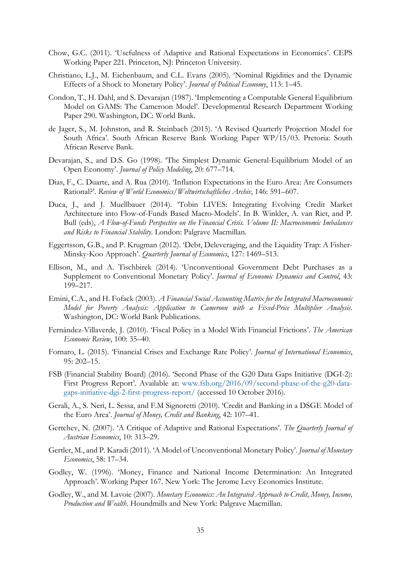- Chow, G.C. (2011). 'Usefulness of Adaptive and Rational Expectations in Economics'. CEPS Working Paper 221. Princeton, NJ: Princeton University.
- Christiano, L.J., M. Eichenbaum, and C.L. Evans (2005). 'Nominal Rigidities and the Dynamic Effects of a Shock to Monetary Policy'. *Journal of Political Economy*, 113: 1–45.
- Condon, T., H. Dahl, and S. Devarajan (1987). 'Implementing a Computable General Equilibrium Model on GAMS: The Cameroon Model'. Developmental Research Department Working Paper 290. Washington, DC: World Bank.
- de Jager, S., M. Johnston, and R. Steinbach (2015). 'A Revised Quarterly Projection Model for South Africa'. South African Reserve Bank Working Paper WP/15/03. Pretoria: South African Reserve Bank.
- Devarajan, S., and D.S. Go (1998). 'The Simplest Dynamic General-Equilibrium Model of an Open Economy'. *Journal of Policy Modeling*, 20: 677–714.
- Dias, F., C. Duarte, and A. Rua (2010). 'Inflation Expectations in the Euro Area: Are Consumers Rational?'. *Review of World Economics/Weltwirtschaftliches Archiv*, 146: 591–607.
- Duca, J., and J. Muellbauer (2014). 'Tobin LIVES: Integrating Evolving Credit Market Architecture into Flow-of-Funds Based Macro-Models'. In B. Winkler, A. van Riet, and P. Bull (eds), *A Flow-of-Funds Perspective on the Financial Crisis. Volume II: Macroeconomic Imbalances and Risks to Financial Stability*. London: Palgrave Macmillan.
- Eggertsson, G.B., and P. Krugman (2012). 'Debt, Deleveraging, and the Liquidity Trap: A Fisher-Minsky-Koo Approach'. *Quarterly Journal of Economics*, 127: 1469–513.
- Ellison, M., and A. Tischbirek (2014). 'Unconventional Government Debt Purchases as a Supplement to Conventional Monetary Policy'. *Journal of Economic Dynamics and Control*, 43: 199–217.
- Emini, C.A., and H. Fofack (2003). *A Financial Social Accounting Matrix for the Integrated Macroeconomic Model for Poverty Analysis: Application to Cameroon with a Fixed-Price Multiplier Analysis*. Washington, DC: World Bank Publications.
- Fernández-Villaverde, J. (2010). 'Fiscal Policy in a Model With Financial Frictions'. *The American Economic Review*, 100: 35–40.
- Fornaro, L. (2015). 'Financial Crises and Exchange Rate Policy'. *Journal of International Economics*, 95: 202–15.
- FSB (Financial Stability Board) (2016). 'Second Phase of the G20 Data Gaps Initiative (DGI-2): First Progress Report'. Available at: www.fsb.org/2016/09/second-phase-of-the-g20-datagaps-initiative-dgi-2-first-progress-report/ (accessed 10 October 2016).
- Gerali, A., S. Neri, L. Sessa, and F.M Signoretti (2010). 'Credit and Banking in a DSGE Model of the Euro Area'. *Journal of Money, Credit and Banking*, 42: 107–41.
- Gertchev, N. (2007). 'A Critique of Adaptive and Rational Expectations'. *The Quarterly Journal of Austrian Economics*, 10: 313–29.
- Gertler, M., and P. Karadi (2011). 'A Model of Unconventional Monetary Policy'. *Journal of Monetary Economics*, 58: 17–34.
- Godley, W. (1996). 'Money, Finance and National Income Determination: An Integrated Approach'. Working Paper 167. New York: The Jerome Levy Economics Institute.
- Godley, W., and M. Lavoie (2007). *Monetary Economics: An Integrated Approach to Credit, Money, Income, Production and Wealth*. Houndmills and New York: Palgrave Macmillan.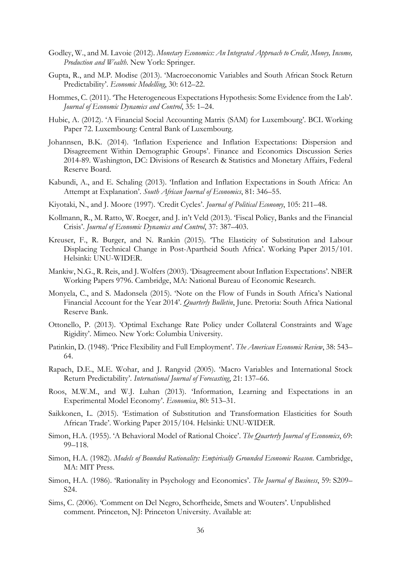- Godley, W., and M. Lavoie (2012). *Monetary Economics: An Integrated Approach to Credit, Money, Income, Production and Wealth*. New York: Springer.
- Gupta, R., and M.P. Modise (2013). 'Macroeconomic Variables and South African Stock Return Predictability'. *Economic Modelling*, 30: 612–22.
- Hommes, C. (2011). 'The Heterogeneous Expectations Hypothesis: Some Evidence from the Lab'. *Journal of Economic Dynamics and Control*, 35: 1–24.
- Hubic, A. (2012). 'A Financial Social Accounting Matrix (SAM) for Luxembourg'. BCL Working Paper 72. Luxembourg: Central Bank of Luxembourg.
- Johannsen, B.K. (2014). 'Inflation Experience and Inflation Expectations: Dispersion and Disagreement Within Demographic Groups'. Finance and Economics Discussion Series 2014-89. Washington, DC: Divisions of Research & Statistics and Monetary Affairs, Federal Reserve Board.
- Kabundi, A., and E. Schaling (2013). 'Inflation and Inflation Expectations in South Africa: An Attempt at Explanation'. *South African Journal of Economics*, 81: 346–55.
- Kiyotaki, N., and J. Moore (1997). 'Credit Cycles'. *Journal of Political Economy*, 105: 211–48.
- Kollmann, R., M. Ratto, W. Roeger, and J. in't Veld (2013). 'Fiscal Policy, Banks and the Financial Crisis'. *Journal of Economic Dynamics and Control*, 37: 387–403.
- Kreuser, F., R. Burger, and N. Rankin (2015). 'The Elasticity of Substitution and Labour Displacing Technical Change in Post-Apartheid South Africa'. Working Paper 2015/101. Helsinki: UNU-WIDER.
- Mankiw, N.G., R. Reis, and J. Wolfers (2003). 'Disagreement about Inflation Expectations'. NBER Working Papers 9796. Cambridge, MA: National Bureau of Economic Research.
- Monyela, C., and S. Madonsela (2015). 'Note on the Flow of Funds in South Africa's National Financial Account for the Year 2014'. *Quarterly Bulletin*, June. Pretoria: South Africa National Reserve Bank.
- Ottonello, P. (2013). 'Optimal Exchange Rate Policy under Collateral Constraints and Wage Rigidity'. Mimeo. New York: Columbia University.
- Patinkin, D. (1948). 'Price Flexibility and Full Employment'. *The American Economic Review*, 38: 543– 64.
- Rapach, D.E., M.E. Wohar, and J. Rangvid (2005). 'Macro Variables and International Stock Return Predictability'. *International Journal of Forecasting*, 21: 137–66.
- Roos, M.W.M., and W.J. Luhan (2013). 'Information, Learning and Expectations in an Experimental Model Economy'. *Economica*, 80: 513–31.
- Saikkonen, L. (2015). 'Estimation of Substitution and Transformation Elasticities for South African Trade'. Working Paper 2015/104. Helsinki: UNU-WIDER.
- Simon, H.A. (1955). 'A Behavioral Model of Rational Choice'. *The Quarterly Journal of Economics*, 69: 99–118.
- Simon, H.A. (1982). *Models of Bounded Rationality: Empirically Grounded Economic Reason*. Cambridge, MA: MIT Press.
- Simon, H.A. (1986). 'Rationality in Psychology and Economics'. *The Journal of Business*, 59: S209– S24.
- Sims, C. (2006). 'Comment on Del Negro, Schorfheide, Smets and Wouters'. Unpublished comment. Princeton, NJ: Princeton University. Available at: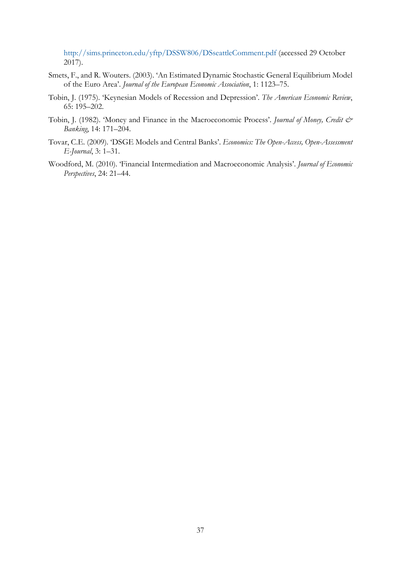http://sims.princeton.edu/yftp/DSSW806/DSseattleComment.pdf (accessed 29 October 2017).

- Smets, F., and R. Wouters. (2003). 'An Estimated Dynamic Stochastic General Equilibrium Model of the Euro Area'. *Journal of the European Economic Association*, 1: 1123–75.
- Tobin, J. (1975). 'Keynesian Models of Recession and Depression'. *The American Economic Review*, 65: 195–202.
- Tobin, J. (1982). 'Money and Finance in the Macroeconomic Process'. *Journal of Money, Credit & Banking*, 14: 171–204.
- Tovar, C.E. (2009). 'DSGE Models and Central Banks'. *Economics: The Open-Access, Open-Assessment E-Journal*, 3: 1–31.
- Woodford, M. (2010). 'Financial Intermediation and Macroeconomic Analysis'. *Journal of Economic Perspectives*, 24: 21–44.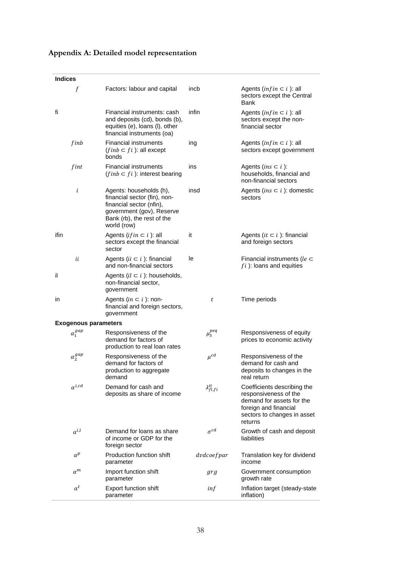| <b>Indices</b>              |                                                                                                                                                               |                        |                                                                                                                                                      |
|-----------------------------|---------------------------------------------------------------------------------------------------------------------------------------------------------------|------------------------|------------------------------------------------------------------------------------------------------------------------------------------------------|
| $\boldsymbol{f}$            | Factors: labour and capital                                                                                                                                   | incb                   | Agents ( <i>infin</i> $\subset$ <i>i</i> ): all<br>sectors except the Central<br>Bank                                                                |
| fi                          | Financial instruments: cash<br>and deposits (cd), bonds (b),<br>equities (e), loans (I), other<br>financial instruments (oa)                                  | infin                  | Agents (infin $\subset$ i): all<br>sectors except the non-<br>financial sector                                                                       |
| finb                        | <b>Financial instruments</b><br>$(finh \subset fi)$ : all except<br>bonds                                                                                     | ing                    | Agents (infin $\subset$ i): all<br>sectors except government                                                                                         |
| fint                        | <b>Financial instruments</b><br>$(finb \subset fi)$ : interest bearing                                                                                        | ins                    | Agents (ins $\subset$ i):<br>households, financial and<br>non-financial sectors                                                                      |
| i                           | Agents: households (h),<br>financial sector (fin), non-<br>financial sector (nfin),<br>government (gov), Reserve<br>Bank (rb), the rest of the<br>world (row) | insd                   | Agents ( <i>ins</i> $\subset$ <i>i</i> ): domestic<br>sectors                                                                                        |
| ifin                        | Agents ( <i>if in</i> $\subset$ <i>i</i> ): all<br>sectors except the financial<br>sector                                                                     | it                     | Agents (it $\subset$ i): financial<br>and foreign sectors                                                                                            |
| ii                          | Agents ( $ii \subset i$ ): financial<br>and non-financial sectors                                                                                             | le                     | Financial instruments (le $\subset$<br>$fi$ ): loans and equities                                                                                    |
| il                          | Agents ( $il \subset i$ ): households,<br>non-financial sector,<br>government                                                                                 |                        |                                                                                                                                                      |
| in                          | Agents $(in \subset i)$ : non-<br>financial and foreign sectors,<br>government                                                                                | t                      | Time periods                                                                                                                                         |
| <b>Exogenous parameters</b> |                                                                                                                                                               |                        |                                                                                                                                                      |
| $\alpha_1^{gap}$            | Responsiveness of the<br>demand for factors of<br>production to real loan rates                                                                               | $\mu_3^{peq}$          | Responsiveness of equity<br>prices to economic activity                                                                                              |
| $\alpha_2^{gap}$            | Responsiveness of the<br>demand for factors of<br>production to aggregate<br>demand                                                                           | $\mu^{cd}$             | Responsiveness of the<br>demand for cash and<br>deposits to changes in the<br>real return                                                            |
| $\alpha^{i,cd}$             | Demand for cash and<br>deposits as share of income                                                                                                            | $\lambda_{fi,fi}^{it}$ | Coefficients describing the<br>responsiveness of the<br>demand for assets for the<br>foreign and financial<br>sectors to changes in asset<br>returns |
| $\alpha^{i,l}$              | Demand for loans as share<br>of income or GDP for the<br>foreign sector                                                                                       | $\sigma^{cd}$          | Growth of cash and deposit<br>liabilities                                                                                                            |
| $\alpha^p$                  | Production function shift<br>parameter                                                                                                                        | dvdcoefpar             | Translation key for dividend<br>income                                                                                                               |
| $\alpha^m$                  | Import function shift<br>parameter                                                                                                                            | grg                    | Government consumption<br>growth rate                                                                                                                |
| $\alpha^t$                  | Export function shift<br>parameter                                                                                                                            | inf                    | Inflation target (steady-state<br>inflation)                                                                                                         |

## **Appendix A: Detailed model representation**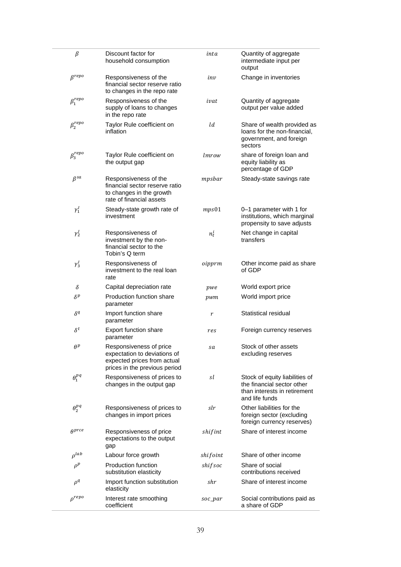| $\beta$          | Discount factor for<br>household consumption                                                                            | inta     | Quantity of aggregate<br>intermediate input per<br>output                                                      |
|------------------|-------------------------------------------------------------------------------------------------------------------------|----------|----------------------------------------------------------------------------------------------------------------|
| $\beta^{repo}$   | Responsiveness of the<br>financial sector reserve ratio<br>to changes in the repo rate                                  | inv      | Change in inventories                                                                                          |
| $\beta_1^{repo}$ | Responsiveness of the<br>supply of loans to changes<br>in the repo rate                                                 | ivat     | Quantity of aggregate<br>output per value added                                                                |
| $\beta_2^{repo}$ | Taylor Rule coefficient on<br>inflation                                                                                 | ld       | Share of wealth provided as<br>loans for the non-financial,<br>government, and foreign<br>sectors              |
| $\beta_3^{repo}$ | Taylor Rule coefficient on<br>the output gap                                                                            | lmrow    | share of foreign loan and<br>equity liability as<br>percentage of GDP                                          |
| $\beta^{sa}$     | Responsiveness of the<br>financial sector reserve ratio<br>to changes in the growth<br>rate of financial assets         | mpsbar   | Steady-state savings rate                                                                                      |
| $\gamma_1^I$     | Steady-state growth rate of<br>investment                                                                               | mps01    | 0-1 parameter with 1 for<br>institutions, which marginal<br>propensity to save adjusts                         |
| $\gamma_2^I$     | Responsiveness of<br>investment by the non-<br>financial sector to the<br>Tobin's Q term                                | $n_t^i$  | Net change in capital<br>transfers                                                                             |
| $\gamma_3^I$     | Responsiveness of<br>investment to the real loan<br>rate                                                                | oipprm   | Other income paid as share<br>of GDP                                                                           |
| δ                | Capital depreciation rate                                                                                               | pwe      | World export price                                                                                             |
| $\delta^p$       | Production function share<br>parameter                                                                                  | pwm      | World import price                                                                                             |
| $\delta^q$       | Import function share<br>parameter                                                                                      | r        | Statistical residual                                                                                           |
| $\delta^t$       | Export function share<br>parameter                                                                                      | res      | Foreign currency reserves                                                                                      |
| $\theta^p$       | Responsiveness of price<br>expectation to deviations of<br>expected prices from actual<br>prices in the previous period | sa       | Stock of other assets<br>excluding reserves                                                                    |
| $\theta_1^{pq}$  | Responsiveness of prices to<br>changes in the output gap                                                                | sl       | Stock of equity liabilities of<br>the financial sector other<br>than interests in retirement<br>and life funds |
| $\theta_2^{pq}$  | Responsiveness of prices to<br>changes in import prices                                                                 | slr      | Other liabilities for the<br>foreign sector (excluding<br>foreign currency reserves)                           |
| $\theta^{prce}$  | Responsiveness of price<br>expectations to the output<br>gap                                                            | shifint  | Share of interest income                                                                                       |
| $\rho^{lab}$     | Labour force growth                                                                                                     | shifoint | Share of other income                                                                                          |
| $\rho^p$         | Production function<br>substitution elasticity                                                                          | shif soc | Share of social<br>contributions received                                                                      |
| $\rho^q$         | Import function substitution<br>elasticity                                                                              | shr      | Share of interest income                                                                                       |
| $\rho^{repo}$    | Interest rate smoothing<br>coefficient                                                                                  | soc_par  | Social contributions paid as<br>a share of GDP                                                                 |

÷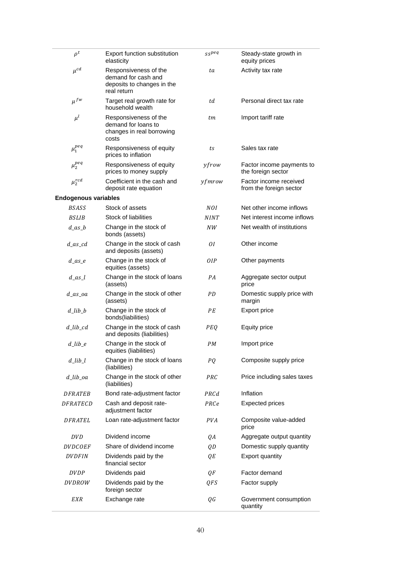| $\rho^t$                          | Export function substitution<br>elasticity                                                | sspeq       | Steady-state growth in<br>equity prices           |
|-----------------------------------|-------------------------------------------------------------------------------------------|-------------|---------------------------------------------------|
| $\mu^{cd}$                        | Responsiveness of the<br>demand for cash and<br>deposits to changes in the<br>real return | ta          | Activity tax rate                                 |
| $\mu^{fw}$                        | Target real growth rate for<br>household wealth                                           | td          | Personal direct tax rate                          |
| $\mu^l$                           | Responsiveness of the<br>demand for loans to<br>changes in real borrowing<br>costs        | tm          | Import tariff rate                                |
| $\mu_1^{peq}$                     | Responsiveness of equity<br>prices to inflation                                           | ts          | Sales tax rate                                    |
| $\mu_2^{peq}$                     | Responsiveness of equity<br>prices to money supply                                        | yfrow       | Factor income payments to<br>the foreign sector   |
| $\mu_2^{rcd}$                     | Coefficient in the cash and<br>deposit rate equation                                      | yfmrow      | Factor income received<br>from the foreign sector |
| <b>Endogenous variables</b>       |                                                                                           |             |                                                   |
| <b>BSASS</b>                      | Stock of assets                                                                           | NOI.        | Net other income inflows                          |
| <b>BSLIB</b>                      | Stock of liabilities                                                                      | <b>NINT</b> | Net interest income inflows                       |
| $d$ as $b$                        | Change in the stock of<br>bonds (assets)                                                  | NW          | Net wealth of institutions                        |
| $d$ _as_cd                        | Change in the stock of cash<br>and deposits (assets)                                      | 01          | Other income                                      |
| $d$ <sub>_as_e</sub>              | Change in the stock of<br>equities (assets)                                               | 0IP         | Other payments                                    |
| $d$ <sub>as</sub> $l$             | Change in the stock of loans<br>(assets)                                                  | PA          | Aggregate sector output<br>price                  |
| $d$ _as_oa                        | Change in the stock of other<br>(assets)                                                  | PD          | Domestic supply price with<br>margin              |
| $d$ _lib_b                        | Change in the stock of<br>bonds(liabilities)                                              | PE          | Export price                                      |
| $d$ <sub>-lib<sub>-cd</sub></sub> | Change in the stock of cash<br>and deposits (liabilities)                                 | PEQ         | <b>Equity price</b>                               |
| $d$ _lib_e                        | Change in the stock of<br>equities (liabilities)                                          | PМ          | Import price                                      |
| $d$ _lib_l                        | Change in the stock of loans<br>(liabilities)                                             | PQ          | Composite supply price                            |
| $d$ _lib_oa                       | Change in the stock of other<br>(liabilities)                                             | PRC         | Price including sales taxes                       |
| <i>DFRATEB</i>                    | Bond rate-adjustment factor                                                               | PRCd        | Inflation                                         |
| <i>DFRATECD</i>                   | Cash and deposit rate-<br>adjustment factor                                               | PRCe        | <b>Expected prices</b>                            |
| <b>DFRATEL</b>                    | Loan rate-adjustment factor                                                               | <b>PVA</b>  | Composite value-added<br>price                    |
| <b>DVD</b>                        | Dividend income                                                                           | QΑ          | Aggregate output quantity                         |
| <i>DVDCOEF</i>                    | Share of dividend income                                                                  | QD          | Domestic supply quantity                          |
| <b>DVDFIN</b>                     | Dividends paid by the<br>financial sector                                                 | QE          | Export quantity                                   |
| <i>DVDP</i>                       | Dividends paid                                                                            | QF          | Factor demand                                     |
| DVDROW                            | Dividends paid by the<br>foreign sector                                                   | QFS         | Factor supply                                     |
| EXR                               | Exchange rate                                                                             | QG          | Government consumption<br>quantity                |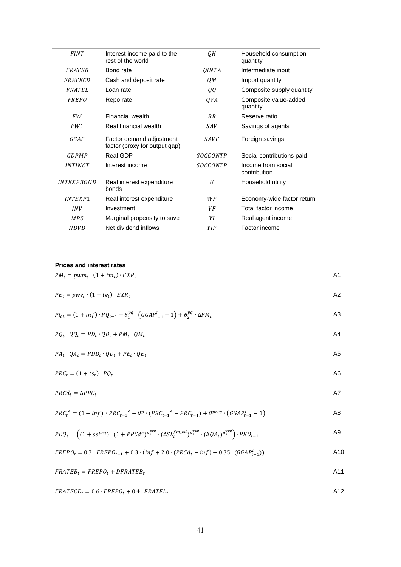| <b>FINT</b>              | Interest income paid to the<br>rest of the world          | QH          | Household consumption<br>quantity  |
|--------------------------|-----------------------------------------------------------|-------------|------------------------------------|
| FRATER                   | Bond rate                                                 | QINTA       | Intermediate input                 |
| FRATECD                  | Cash and deposit rate                                     | QM          | Import quantity                    |
| FRATEL                   | Loan rate                                                 | QQ          | Composite supply quantity          |
| FREPO                    | Repo rate                                                 | QVA         | Composite value-added<br>quantity  |
| <b>FW</b>                | Financial wealth                                          | <b>RR</b>   | Reserve ratio                      |
| FW1                      | Real financial wealth                                     | <b>SAV</b>  | Savings of agents                  |
| GGAP                     | Factor demand adjustment<br>factor (proxy for output gap) | <b>SAVF</b> | Foreign savings                    |
| GDPMP                    | Real GDP                                                  | SOCCONTP    | Social contributions paid          |
| <i><b>INTINCT</b></i>    | Interest income                                           | SOCCONTR    | Income from social<br>contribution |
| <i><b>INTEXPBOND</b></i> | Real interest expenditure<br>bonds                        | U           | Household utility                  |
| <b>INTEXP1</b>           | Real interest expenditure                                 | WF          | Economy-wide factor return         |
| <b>INV</b>               | Investment                                                | ΥF          | Total factor income                |
| <b>MPS</b>               | Marginal propensity to save                               | ΥI          | Real agent income                  |
| <i>NDVD</i>              | Net dividend inflows                                      | YIF         | Factor income                      |
|                          |                                                           |             |                                    |

## **Prices and interest rates**

 $\overline{\phantom{a}}$ 

| $PM_t = pwm_t \cdot (1 + tm_t) \cdot EXP_t$                                                                                                                               | A1              |
|---------------------------------------------------------------------------------------------------------------------------------------------------------------------------|-----------------|
| $PE_t = pwe_t \cdot (1 - te_t) \cdot EXR_t$                                                                                                                               | A2              |
| $PQ_t = (1 + inf) \cdot PQ_{t-1} + \theta_1^{pq} \cdot (GGAP_{t-1}^l - 1) + \theta_2^{pq} \cdot \Delta PM_t$                                                              | A3              |
| $PQ_t \cdot QQ_t = PD_t \cdot QD_t + PM_t \cdot QM_t$                                                                                                                     | A4              |
| $PA_t \cdot QA_t = PDD_t \cdot QD_t + PE_t \cdot QE_t$                                                                                                                    | A <sub>5</sub>  |
| $PRC_t = (1 + ts_t) \cdot PQ_t$                                                                                                                                           | A6              |
| $PRCd_t = \Delta PRC_t$                                                                                                                                                   | A7              |
| $PRC_t^e = (1 + inf) \cdot PRC_{t-1}^e - \theta^p \cdot (PRC_{t-1}^e - PRC_{t-1}) + \theta^{prce} \cdot (GGAP_{t-1}^l - 1)$                                               | A8              |
| $PEQ_t = \left( (1 + s s^{peq}) \cdot (1 + PRCd_t^e)^{\mu_1^{peq}} \cdot (\Delta SL_t^{fin\_cd})^{\mu_2^{peq}} \cdot (\Delta QA_t)^{\mu_3^{peq}} \right) \cdot PEQ_{t-1}$ | A9              |
| $FREPO_t = 0.7 \cdot FREPO_{t-1} + 0.3 \cdot (inf + 2.0 \cdot (PRCd_t - inf) + 0.35 \cdot (GGAP_{t-1}^l))$                                                                | A <sub>10</sub> |
| $FRATEB_t = FREDO_t + DFRATEB_t$                                                                                                                                          | A11             |

$$
FRATECD_t = 0.6 \cdot FREPO_t + 0.4 \cdot FRATEL_t
$$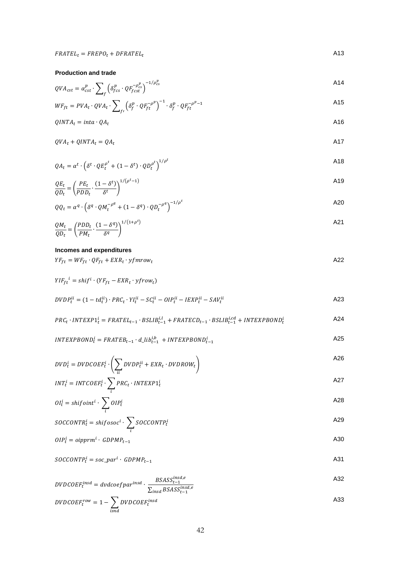**Production and trade** 

$$
QVA_{cst} = \alpha_{cst}^p \cdot \sum_{f} \left( \delta_{fcs}^p \cdot QF_{fcst}^{-\rho_{cs}^p} \right)^{-1/\rho_{cs}^p}
$$

$$
WF_{ft} = PVA_t \cdot QVA_t \cdot \sum_{f'} \left( \delta_f^p \cdot QF_{ft}^{-\rho^p} \right)^{-1} \cdot \delta_f^p \cdot QF_{ft}^{-\rho^p - 1}
$$

$$
QINTA_t = inta \cdot QA_t
$$

$$
QVA_t + QINTA_t = QA_t
$$

$$
QA_t = \alpha^t \cdot (\delta^t \cdot QE_t^{\rho^t} + (1 - \delta^t) \cdot QD_t^{\rho^t})^{1/\rho^t}
$$

$$
\frac{QE_t}{QD_t} = \left(\frac{PE_t}{PDD_t} \cdot \frac{(1-\delta^t)}{\delta^t}\right)^{1/(\rho^t - 1)}
$$

$$
QQ_t = \alpha^q \cdot \left(\delta^q \cdot Q M_t^{-\rho^q} + (1 - \delta^q) \cdot Q D_t^{-\rho^q}\right)^{-1/\rho^t}
$$

$$
\frac{QM_t}{QD_t} = \left(\frac{PDD_t}{PM_t} \cdot \frac{(1-\delta^q)}{\delta^q}\right)^{1/(1+\rho^t)} \tag{A21}
$$

## **Incomes and expenditures**

$$
YF_{ft} = WF_{ft} \cdot QF_{ft} + EXR_t \cdot yf mrow_t
$$

$$
YIF_{ft}^i = shift^i \cdot (YF_{ft} - EXR_t \cdot yfrow_t)
$$

$$
DVDP_t^{ii} = (1 - td_t^{ii}) \cdot PRC_t \cdot YI_t^{ii} - SC_t^{ii} - OIP_t^{ii} - IEXP_t^{ii} - SAV_t^{ii}
$$

$$
PRC_t \cdot INTEXPI_t^i = FRATEL_{t-1} \cdot BSLIB_{t-1}^{i,l} + FRATECD_{t-1} \cdot BSLIB_{t-1}^{i,cd} + INTEXPBOND_t^i
$$

$$
INTERPBOND_t^i = FRATEB_{t-1} \cdot d\_lib_{t-1}^{i,b} + INTEXPBOND_{t-1}^i
$$

$$
DVD_t^i = DVDCOEF_t^i \cdot \left(\sum_{ii} DVD_t^{ii} + EXP_t \cdot DVDROW_t\right)
$$

$$
INT_t^i = INTCOEF_t^i \cdot \sum_i PRC_t \cdot INTEXP1_t^i
$$

$$
OI_t^i = shiftoint^i \cdot \sum_i OIP_t^i
$$

$$
SOCCONTR_t^i = shiftosoc^i \cdot \sum_i SOCCONTP_t^i
$$

$$
OIP_t^i = oipprm^i \cdot GDPMP_{t-1} \tag{A30}
$$

$$
SOCCONTPti = soc\_pari \cdot GDPMPt-1
$$

$$
DVDCOEF_t^{insd} = dvdcoefpar^{insd} \cdot \frac{BSASS_{t-1}^{insd,e}}{\sum_{insd} BSASS_{t-1}^{insd,e}}
$$

$$
DVDCOEF_t^{row} = 1 - \sum_{isnd} DVDCOEF_t^{insd}
$$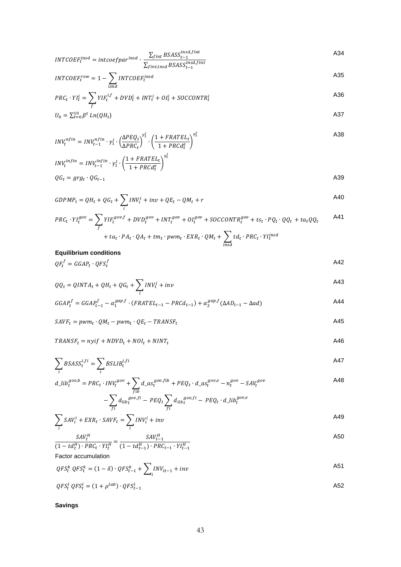$$
INTCOEF_t^{insd} = \frac{intercept_{dist}}{T_{fit,insd}BSASS_{t-1}^{insd,fit}}
$$

$$
INTCOEF_t^{row} = 1 - \sum_{i \text{snd}} INTCOEF_t^{insd}
$$

$$
PRC_t \cdot YI_t^i = \sum_f YIF_t^{i,f} + DVD_t^i + INT_t^i + OI_t^i + SOCCONTR_t^i
$$

$$
U_0 = \sum_{t=0}^{10} \beta^t \ln(QH_t) \tag{A37}
$$

$$
INV_t^{nfin} = INV_{t-1}^{nfin} \cdot \gamma_1^l \cdot \left(\frac{\Delta PEQ_t}{\Delta PRC_t}\right)^{\gamma_2^l} \cdot \left(\frac{1 + FRATEL_t}{1 + PRCd_t^e}\right)^{\gamma_3^l}
$$

$$
INVtinfin = INVt-1infin \cdot \gamma_1' \cdot \left(\frac{1 + FRATEL_t}{1 + PRCd_t^e}\right)^{\gamma_3'}
$$
  

$$
QG_t = gray_t \cdot QG_{t-1}
$$

$$
GDPMP_t = QH_t + QG_t + \sum_i INV_t^i + inv + QE_t - QM_t + r
$$

$$
PRC_t \cdot YI_t^{gov} = \sum_f YIF_t^{gov,f} + DVD_t^{gov} + INT_t^{gov} + OI_t^{gov} + SOCCONTR_t^{gov} + ts_t \cdot PQ_t \cdot QQ_t + ta_tQQ_t
$$

$$
+ ta_t \cdot PA_t \cdot QA_t + tm_t \cdot pwm_t \cdot EXR_t \cdot QM_t + \sum_{insd} td_t \cdot PRC_t \cdot YI_t^{insd}
$$

## **Equilibrium conditions**

$$
QF_t^f = GGAP_t \cdot QFS_t^f \tag{A42}
$$

$$
QQ_t = QINTA_t + QH_t + QG_t + \sum_i INV_t^i + inv
$$

$$
GGAP_t^f = GGAP_{t-1}^f - \alpha_1^{gap,f} \cdot (FRATEL_{t-1} - PRCd_{t-1}) + \alpha_2^{gap,f} (\Delta AD_{t-1} - \Delta ad)
$$

$$
SAVF_t = pwm_t \cdot QM_t - pwm_t \cdot QE_t - TRANSF_t \tag{A45}
$$

$$
TRANSF_t = nyi + NDVD_t + NOI_t + NINT_t
$$

$$
\sum_{i} BSASS_t^{i,fi} = \sum_{i} BSLIB_t^{i,fi} \tag{A47}
$$

$$
d\_lib_t^{gov,b} = PRC_t \cdot INV_t^{gov} + \sum_{fib} d\_as_t^{gov, fib} + PEQ_t \cdot d\_as_t^{gov,e} - n_t^{gov} - SAV_t^{gov}
$$

$$
-\sum_{fi} d_{lib}^{gov,fi} - PEQ_t \sum_{fi} d_{lib}^{gov,fi} - PEQ_t \cdot d\_lib_t^{gov,e}
$$

$$
\sum_{i} SAV_i^i + EXP_t \cdot SAVF_t = \sum_{i} INV_i^i + inv
$$

$$
\frac{SAV_t^H}{(1 - td_t^H) \cdot PRC_t \cdot YI_t^H} = \frac{SAV_{t-1}^H}{(1 - td_{t-1}^H) \cdot PRC_{t-1} \cdot YI_{t-1}^H}
$$

Factor accumulation

$$
QFS_t^k \tQFS_t^k = (1 - \delta) \cdot QFS_{t-1}^k + \sum_i INV_{it-1} + inv
$$

$$
QFS_t^l \; QFS_t^l = (1 + \rho^{lab}) \cdot QFS_{t-1}^l \tag{A52}
$$

**Savings**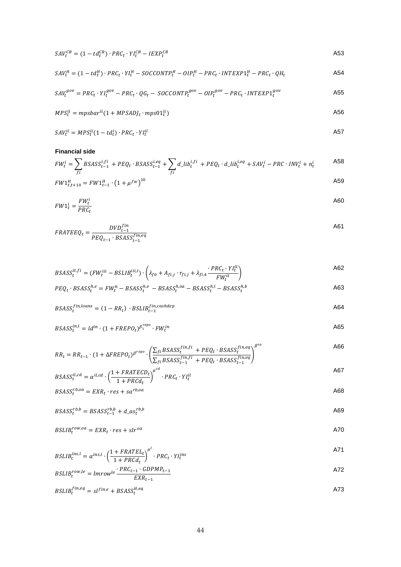$$
SAV_t^{CB} = (1 - td_t^{CB}) \cdot PRC_t \cdot YI_t^{CB} - IEXP_t^{CB}
$$

$$
SAV_t^H = (1 - td_t^H) \cdot PRC_t \cdot YI_t^H - SOCCONTP_t^H - OIP_t^H - PRC_t \cdot INTEXP1_t^H - PRC_t \cdot QH_t
$$

$$
SAV_t^{gov} = PRC_t \cdot YI_t^{gov} - PRC_t \cdot QG_t - SOCCONTP_t^{gov} - OIP_t^{gov} - PRC_t \cdot INTEXP1_t^{gov}
$$

$$
MPS_t^{ii} = mpsbar^{ii} (1 + MPSAD)_t \cdot mps01_t^{ii})
$$

$$
SAV_t^{ii} = MPS_t^{ii} (1 - td_t^i) \cdot PRC_t \cdot YI_t^{ii}
$$

#### **Financial side**

$$
FW_t^i = \sum_{fi} BSASS_{t-1}^{i,fi} + PEQ_t \cdot BSASS_{t-1}^{i,eq} + \sum_{fi} d\_lib_t^{i,fi} + PEQ_t \cdot d\_lib_t^{i,eq} + SAV_t^i - PRC \cdot INV_t^i + n_t^i
$$
 A58  
\n
$$
FW1_{t-1,1,2,3}^H = FW1_t^H \cdot (1 + u^{fw})^{10}
$$
 A59

$$
FW1_{t,t+10}^H = FW1_{t-1}^H \cdot \left(1 + \mu^{fw}\right)^{10}
$$

$$
FW1_t^i = \frac{FW_t^i}{PRC_t}
$$

$$
FRATEEQ_t = \frac{DVD_{t-1}^{fin}}{PEQ_{t-1} \cdot BSASS_{t-1}^{fin,eq}}
$$

$$
BSASS_t^{it,fi} = (FW_t^{iii} - BSLIB_t^{iii,l}) \cdot \left(\lambda_{f0} + A_{fi,j} \cdot r_{fi,j} + \lambda_{fi,4} \cdot \frac{PRC_t \cdot YI_t^{it}}{FW_t^{it}}\right)
$$

$$
PEQ_t \cdot BSASS_t^{h,e} = FW_t^h - BSASS_t^{h,e} - BSASS_t^{h,oa} - BSASS_t^{h,l} - BSASS_t^{h,b}
$$

$$
BSASS_t^{fin, loans} = (1 - RR_t) \cdot BSLIB_{t-1}^{fin, cashdep}
$$

$$
BSASS_t^{in,l} = Id^{in} \cdot (1 + FREDO_t)^{\beta_1^{repo}} \cdot FW_t^{in}
$$

$$
RR_t = RR_{t-1} \cdot (1 + \Delta FREPO_t)^{\beta^{repo}} \cdot \left(\frac{\sum_{fi} BSASS_t^{fin,fi} + PEQ_t \cdot BSASS_t^{fin,eq}}{\sum_{fi} BSASS_{t-1}^{fin,fi} + PEQ_t \cdot BSASS_{t-1}^{fin,eq}}\right)^{\beta^{sa}}
$$

$$
BSASS_t^{il,cd} = \alpha^{il,cd} \cdot \left(\frac{1 + FRATEGD_t}{1 + PRCd_t}\right)^{\mu^{cd}} \cdot PRC_t \cdot YI_t^{il}
$$
\n
$$
SASS_t^{il,cd} = \alpha^{il,cd} \cdot \left(\frac{1 + FRATECD_t}{1 + PRCd_t}\right)^{\mu^{cd}} \cdot PRC_t \cdot YI_t^{il}
$$

$$
BSASS_t^{rb,oa} = EXR_t \cdot res + sa^{rb,oa}
$$

$$
BSASS_t^{rb,b} = BSASS_{t-1}^{rb,b} + d_a s_t^{rb,b}
$$

$$
BSLIBtrow, oa = EXRt \cdot res + slroa
$$

$$
BSLIB_t^{ins,l} = \alpha^{ins,l} \cdot \left(\frac{1 + FRATEL_t}{1 + PRCd_t}\right)^{\mu^l} \cdot PRC_t \cdot YI_t^{ins}
$$

$$
BSLIBtrow,le = lmrowle \frac{PRC_{t-1} \cdot GDPMP_{t-1}}{EXR_{t-1}}
$$

$$
BSLIB_t^{fin,eq} = sl^{fin,e} + BSASS_t^{H,eq}
$$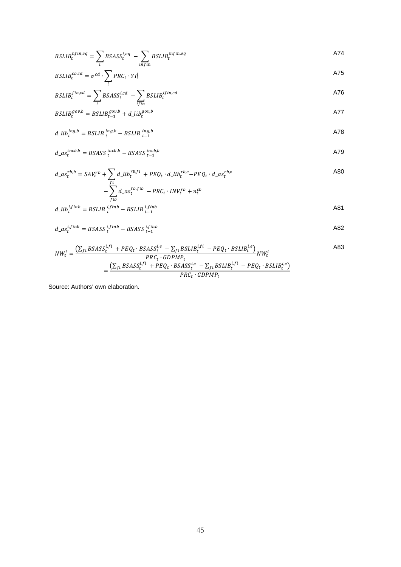$$
BSLIB_t^{nfin,eq} = \sum_i BSASS_t^{i,eq} - \sum_{infin} BSLIB_t^{infin,eq}
$$

$$
BSLIB_t^{cb,cd} = \sigma^{cd} \cdot \sum_i PRC_t \cdot YI_t^i
$$

$$
BSLIB_t^{fin,cd} = \sum_i BSASS_t^{i,cd} - \sum_{ifin} BSLIB_t^{ifin,cd}
$$

$$
BSLIBtgov,b = BSLIBt-1gov,b + d_Libtgov,b
$$

$$
d\_lib_t^{ing,b} = BSLIB_t^{ing,b} - BSLIB_{t-1}^{ing,b}
$$

$$
d_a s_t^{incb,b} = BSASS_t^{incb,b} - BSASS_{t-1}^{incb,b}
$$

$$
d_a s_t^{rb,b} = SAV_t^{rb} + \sum_{\substack{fi\\j\neq i}} d_a \text{Li}b_t^{rb,fi} + PEQ_t \cdot d_a \text{Li}b_t^{rb,e} - PEQ_t \cdot d_a s_t^{rb,e}
$$

$$
d\_lib_t^{i,finb} = BSLIB_t^{i,finb} - BSLIB_{t-1}^{i,finb}
$$

$$
d_a s_t^{i,finb} = BSASS_t^{i,finb} - BSASS_{t-1}^{i,finb}
$$

$$
NW_t^i = \frac{\left(\sum_{fi} BSASS_t^{i,fi} + PEQ_t \cdot BSASS_t^{i,e} - \sum_{fi} BSLIB_t^{i,fi} - PEQ_t \cdot BSLIB_t^{i,e}\right)}{PRC_t \cdot GDPMP_t} NW_t^i
$$
\n
$$
= \frac{\left(\sum_{fi} BSASS_t^{i,fi} + PEQ_t \cdot BSASS_t^{i,e} - \sum_{fi} BSLIB_t^{i,fi} - PEQ_t \cdot BSLIB_t^{i,e}\right)}{PRC_t \cdot GDPMP_t}
$$
\n(483)

Source: Authors' own elaboration.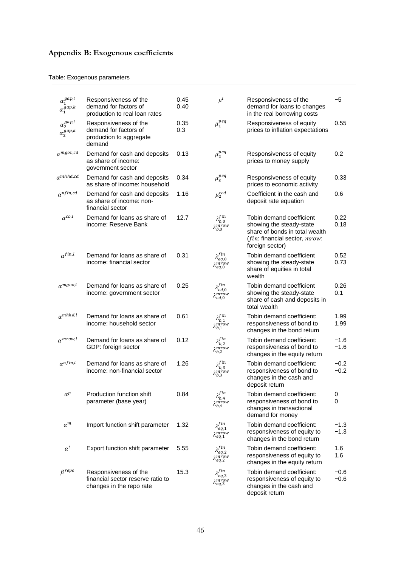## **Appendix B: Exogenous coefficients**

## Table: Exogenous parameters

| $\alpha_1^{gap,l}$<br>$\alpha_1^{gap,k}$            | Responsiveness of the<br>demand for factors of<br>production to real loan rates        | 0.45<br>0.40 | $\mu^l$                                           | Responsiveness of the<br>demand for loans to changes<br>in the real borrowing costs                                                        | -5               |
|-----------------------------------------------------|----------------------------------------------------------------------------------------|--------------|---------------------------------------------------|--------------------------------------------------------------------------------------------------------------------------------------------|------------------|
| $\alpha_2^{gap,l}$<br>$\alpha_2^{\overline{g}ap,k}$ | Responsiveness of the<br>demand for factors of<br>production to aggregate<br>demand    | 0.35<br>0.3  | $\mu_1^{peq}$                                     | Responsiveness of equity<br>prices to inflation expectations                                                                               | 0.55             |
| $\alpha^{mgov,cd}$                                  | Demand for cash and deposits<br>as share of income:<br>government sector               | 0.13         | $\mu_2^{peq}$                                     | Responsiveness of equity<br>prices to money supply                                                                                         | 0.2              |
| $\alpha^{mhhd,cd}$                                  | Demand for cash and deposits<br>as share of income: household                          | 0.34         | $\mu_3^{peq}$                                     | Responsiveness of equity<br>prices to economic activity                                                                                    | 0.33             |
| $\alpha^{nfin,cd}$                                  | Demand for cash and deposits<br>as share of income: non-<br>financial sector           | 1.16         | $\mu_2^{rcd}$                                     | Coefficient in the cash and<br>deposit rate equation                                                                                       | 0.6              |
| $\alpha^{cb,l}$                                     | Demand for loans as share of<br>income: Reserve Bank                                   | 12.7         | $\lambda_{b,0}^{fin}$<br>$\lambda^{mrow}_{b,0}$   | Tobin demand coefficient<br>showing the steady-state<br>share of bonds in total wealth<br>(fin: financial sector, mrow:<br>foreign sector) | 0.22<br>0.18     |
| $\alpha^{fin,l}$                                    | Demand for loans as share of<br>income: financial sector                               | 0.31         | $\lambda_{eq,0}^{fin}$<br>$\lambda^{mrow}_{eq,0}$ | Tobin demand coefficient<br>showing the steady-state<br>share of equities in total<br>wealth                                               | 0.52<br>0.73     |
| $\alpha^{mgov,l}$                                   | Demand for loans as share of<br>income: government sector                              | 0.25         | $\lambda_{cd,0}^{fin} \ \lambda_{cd,0}^{mrow}$    | Tobin demand coefficient<br>showing the steady-state<br>share of cash and deposits in<br>total wealth                                      | 0.26<br>0.1      |
| $\alpha^{mhhd,l}$                                   | Demand for loans as share of<br>income: household sector                               | 0.61         | $\lambda^{fin}_{b,1}$<br>$\lambda_{b,1}^{mrow}$   | Tobin demand coefficient:<br>responsiveness of bond to<br>changes in the bond return                                                       | 1.99<br>1.99     |
| $\alpha^{mrow,l}$                                   | Demand for loans as share of<br>GDP: foreign sector                                    | 0.12         | $\lambda_{b,2}^{fin}$<br>$\lambda_{b,2}^{mrow}$   | Tobin demand coefficient:<br>responsiveness of bond to<br>changes in the equity return                                                     | -1.6<br>$-1.6$   |
| $\alpha^{nfin,l}$                                   | Demand for loans as share of<br>income: non-financial sector                           | 1.26         | $\lambda_{b,3}^{fin} \ \lambda_{b,3}^{mrow}$      | Tobin demand coefficient:<br>responsiveness of bond to<br>changes in the cash and<br>deposit return                                        | $-0.2$<br>$-0.2$ |
| $\alpha^p$                                          | Production function shift<br>parameter (base year)                                     | 0.84         | $\lambda^{fin}_{b,4}$<br>$\lambda^{miow}_{b,4}$   | Tobin demand coefficient:<br>responsiveness of bond to<br>changes in transactional<br>demand for money                                     | 0<br>0           |
| $\alpha^m$                                          | Import function shift parameter                                                        | 1.32         | $\lambda_{eq,1}^{fin}$<br>$\lambda_{eq,1}^{mrow}$ | Tobin demand coefficient:<br>responsiveness of equity to<br>changes in the bond return                                                     | $-1.3$<br>$-1.3$ |
| $\alpha^t$                                          | Export function shift parameter                                                        | 5.55         | $\lambda_{eq,2}^{fin}$<br>$\lambda^{mrow}_{eq,2}$ | Tobin demand coefficient:<br>responsiveness of equity to<br>changes in the equity return                                                   | 1.6<br>1.6       |
| $\beta^{repo}$                                      | Responsiveness of the<br>financial sector reserve ratio to<br>changes in the repo rate | 15.3         | $\lambda_{eq,3}^{fin}$<br>$\lambda_{eq,3}^{mrow}$ | Tobin demand coefficient:<br>responsiveness of equity to<br>changes in the cash and<br>deposit return                                      | -0.6<br>$-0.6$   |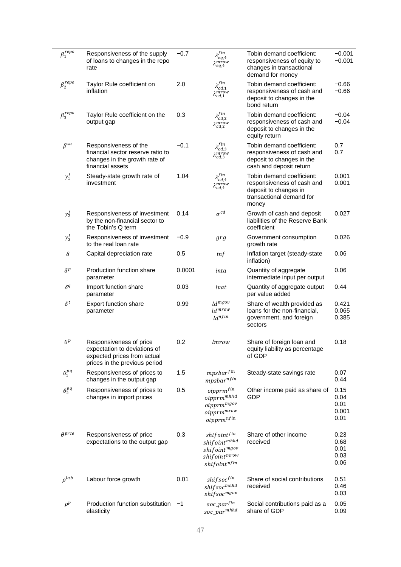| $\beta_1^{repo}$ | Responsiveness of the supply<br>of loans to changes in the repo<br>rate                                                 | $-0.7$ | $\lambda_{eq,4}^{fin}$<br>$\lambda_{eq,4}^{mrow}$                                                                    | Tobin demand coefficient:<br>responsiveness of equity to<br>changes in transactional<br>demand for money              | $-0.001$<br>$-0.001$                  |
|------------------|-------------------------------------------------------------------------------------------------------------------------|--------|----------------------------------------------------------------------------------------------------------------------|-----------------------------------------------------------------------------------------------------------------------|---------------------------------------|
| $\beta_2^{repo}$ | Taylor Rule coefficient on<br>inflation                                                                                 | 2.0    | $\lambda^{fin}_{cd,1}$<br>$\lambda_{cd,1}^{mrow}$                                                                    | Tobin demand coefficient:<br>responsiveness of cash and<br>deposit to changes in the<br>bond return                   | $-0.66$<br>$-0.66$                    |
| $\beta_3^{repo}$ | Taylor Rule coefficient on the<br>output gap                                                                            | 0.3    | $\lambda^{fin}_{cd,2}$<br>$\lambda_{cd,2}^{mrow}$                                                                    | Tobin demand coefficient:<br>responsiveness of cash and<br>deposit to changes in the<br>equity return                 | $-0.04$<br>$-0.04$                    |
| $\beta^{sa}$     | Responsiveness of the<br>financial sector reserve ratio to<br>changes in the growth rate of<br>financial assets         | $-0.1$ | $\lambda^{fin}_{cd,3}$<br>$\lambda^{mrow}_{cd,3}$                                                                    | Tobin demand coefficient:<br>responsiveness of cash and<br>deposit to changes in the<br>cash and deposit return       | 0.7<br>0.7                            |
| $\gamma_1^I$     | Steady-state growth rate of<br>investment                                                                               | 1.04   | $\lambda^{fin}_{cd,4}$<br>$\lambda^{mrow}_{cd,4}$                                                                    | Tobin demand coefficient:<br>responsiveness of cash and<br>deposit to changes in<br>transactional demand for<br>money | 0.001<br>0.001                        |
| $\gamma_2^I$     | Responsiveness of investment<br>by the non-financial sector to<br>the Tobin's Q term                                    | 0.14   | $\sigma^{cd}$                                                                                                        | Growth of cash and deposit<br>liabilities of the Reserve Bank<br>coefficient                                          | 0.027                                 |
| $\gamma_3^I$     | Responsiveness of investment<br>to the real loan rate                                                                   | $-0.9$ | grg                                                                                                                  | Government consumption<br>growth rate                                                                                 | 0.026                                 |
| δ                | Capital depreciation rate                                                                                               | 0.5    | inf                                                                                                                  | Inflation target (steady-state<br>inflation)                                                                          | 0.06                                  |
| $\delta^p$       | Production function share<br>parameter                                                                                  | 0.0001 | inta                                                                                                                 | Quantity of aggregate<br>intermediate input per output                                                                | 0.06                                  |
| $\delta^q$       | Import function share<br>parameter                                                                                      | 0.03   | ivat                                                                                                                 | Quantity of aggregate output<br>per value added                                                                       | 0.44                                  |
| $\delta^t$       | <b>Export function share</b><br>parameter                                                                               | 0.99   | ld <sup>mgov</sup><br>$ld^{mrow}$<br>$ld^{nfin}$                                                                     | Share of wealth provided as<br>loans for the non-financial,<br>government, and foreign<br>sectors                     | 0.421<br>0.065<br>0.385               |
| $\theta^p$       | Responsiveness of price<br>expectation to deviations of<br>expected prices from actual<br>prices in the previous period | 0.2    | lmrow                                                                                                                | Share of foreign loan and<br>equity liability as percentage<br>of GDP                                                 | 0.18                                  |
| $\theta_1^{pq}$  | Responsiveness of prices to<br>changes in the output gap                                                                | 1.5    | $mpsbar^{fin}$<br>$mpsbar^{nfin}$                                                                                    | Steady-state savings rate                                                                                             | 0.07<br>0.44                          |
| $\theta_2^{pq}$  | Responsiveness of prices to<br>changes in import prices                                                                 | 0.5    | $\emph{oipprm}^{fin}$<br>oipprm <sup>mhhd</sup><br>$\it oipprm^{mgov}$<br>$\it oipprm^{mrow}$<br>$\it oipprm^{nfin}$ | Other income paid as share of<br>GDP                                                                                  | 0.15<br>0.04<br>0.01<br>0.001<br>0.01 |
| $\theta^{prce}$  | Responsiveness of price<br>expectations to the output gap                                                               | 0.3    | shif oint fin<br>$shiftoint^{mhhd}$<br>$shiftoint^{mgov}$<br>$\it shiftoint^{mrow}$<br>$\it shiftoint^{nfin}$        | Share of other income<br>received                                                                                     | 0.23<br>0.68<br>0.01<br>0.03<br>0.06  |
| $\rho^{lab}$     | Labour force growth                                                                                                     | 0.01   | $\it shift soc^{fin}$<br>$shiftsoc^{mhhd}$<br>shif soc <sup>mgov</sup>                                               | Share of social contributions<br>received                                                                             | 0.51<br>0.46<br>0.03                  |
| $\rho^p$         | Production function substitution<br>elasticity                                                                          | $-1$   | $soc\_par^{fin}$<br>soc_par <sup>mhhd</sup>                                                                          | Social contributions paid as a<br>share of GDP                                                                        | 0.05<br>0.09                          |